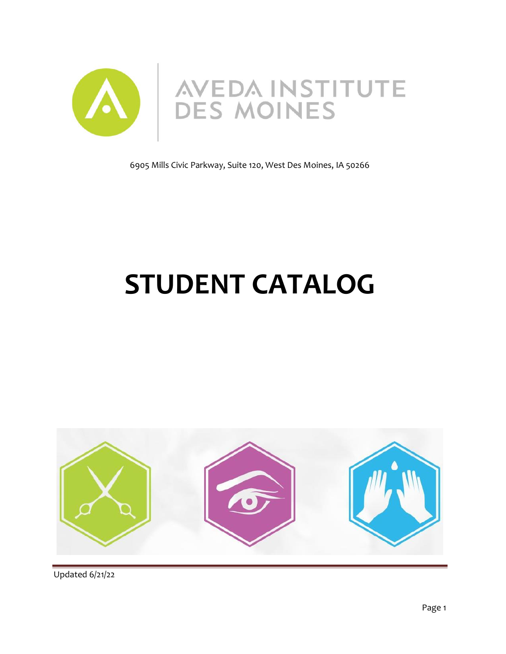

6905 Mills Civic Parkway, Suite 120, West Des Moines, IA 50266

# **STUDENT CATALOG**

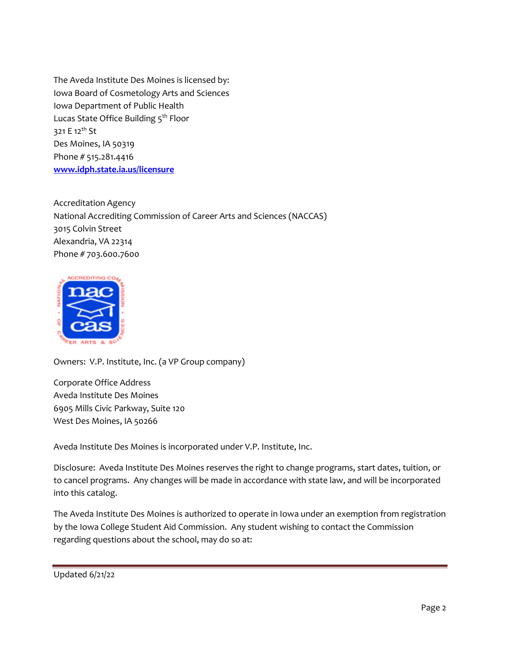The Aveda Institute Des Moines is licensed by: Iowa Board of Cosmetology Arts and Sciences Iowa Department of Public Health Lucas State Office Building 5<sup>th</sup> Floor 321 E 12<sup>th</sup> St Des Moines, IA 50319 Phone # 515.281.4416 **[www.idph.state.ia.us/licensure](http://www.idph.state.ia.us/licensure)**

Accreditation Agency National Accrediting Commission of Career Arts and Sciences (NACCAS) 3015 Colvin Street Alexandria, VA 22314 Phone # 703.600.7600



Owners: V.P. Institute, Inc. (a VP Group company)

Corporate Office Address Aveda Institute Des Moines 6905 Mills Civic Parkway, Suite 120 West Des Moines, IA 50266

Aveda Institute Des Moines is incorporated under V.P. Institute, Inc.

Disclosure: Aveda Institute Des Moines reserves the right to change programs, start dates, tuition, or to cancel programs. Any changes will be made in accordance with state law, and will be incorporated into this catalog.

The Aveda Institute Des Moines is authorized to operate in Iowa under an exemption from registration by the Iowa College Student Aid Commission. Any student wishing to contact the Commission regarding questions about the school, may do so at:

```
Updated 6/21/22
```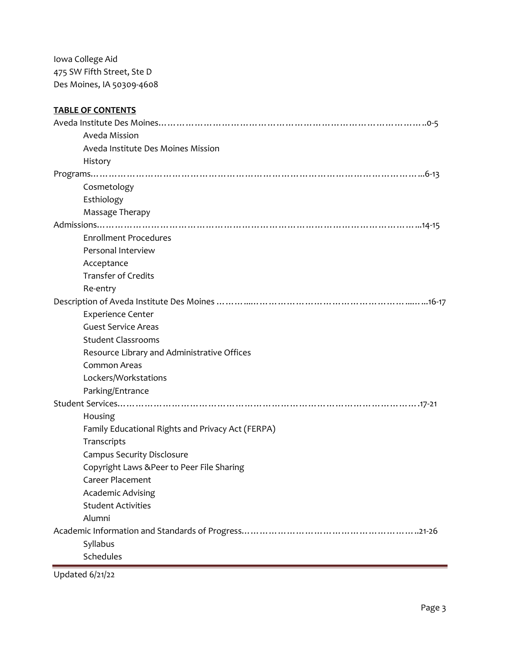Iowa College Aid 475 SW Fifth Street, Ste D Des Moines, IA 50309-4608

# **TABLE OF CONTENTS** Aveda Institute Des Moines……………………………………………………………………………..0-5 Aveda Mission Aveda Institute Des Moines Mission History Programs………………………………………………………………………………………………...6-13 Cosmetology Esthiology Massage Therapy Admissions……………………………………………………………………………………………...14-15 Enrollment Procedures Personal Interview Acceptance Transfer of Credits Re-entry Description of Aveda Institute Des Moines ………...……………………………………………...…...16-17 Experience Center Guest Service Areas Student Classrooms Resource Library and Administrative Offices Common Areas Lockers/Workstations Parking/Entrance Student Services……………………………………………………………………………………….17-21 Housing Family Educational Rights and Privacy Act (FERPA) **Transcripts** Campus Security Disclosure Copyright Laws &Peer to Peer File Sharing Career Placement Academic Advising Student Activities Alumni Academic Information and Standards of Progress…………………………………………………..21-26 Syllabus Schedules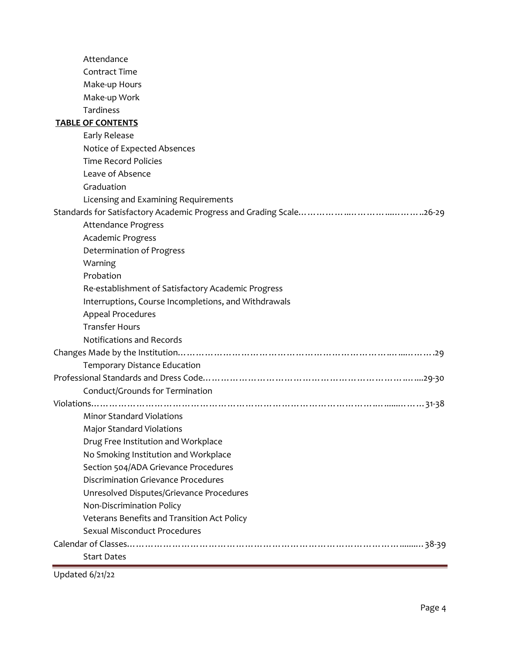| Attendance                                           |
|------------------------------------------------------|
| <b>Contract Time</b>                                 |
| Make-up Hours                                        |
| Make-up Work                                         |
| Tardiness                                            |
| <b>TABLE OF CONTENTS</b>                             |
| Early Release                                        |
| Notice of Expected Absences                          |
| <b>Time Record Policies</b>                          |
| Leave of Absence                                     |
| Graduation                                           |
| Licensing and Examining Requirements                 |
|                                                      |
| <b>Attendance Progress</b>                           |
| Academic Progress                                    |
| Determination of Progress                            |
| Warning                                              |
| Probation                                            |
| Re-establishment of Satisfactory Academic Progress   |
| Interruptions, Course Incompletions, and Withdrawals |
| Appeal Procedures                                    |
| <b>Transfer Hours</b>                                |
| <b>Notifications and Records</b>                     |
|                                                      |
| Temporary Distance Education                         |
|                                                      |
| Conduct/Grounds for Termination                      |
|                                                      |
| Minor Standard Violations                            |
| <b>Major Standard Violations</b>                     |
| Drug Free Institution and Workplace                  |
| No Smoking Institution and Workplace                 |
| Section 504/ADA Grievance Procedures                 |
| Discrimination Grievance Procedures                  |
| Unresolved Disputes/Grievance Procedures             |
| Non-Discrimination Policy                            |
| Veterans Benefits and Transition Act Policy          |
| Sexual Misconduct Procedures                         |
|                                                      |
| <b>Start Dates</b>                                   |
|                                                      |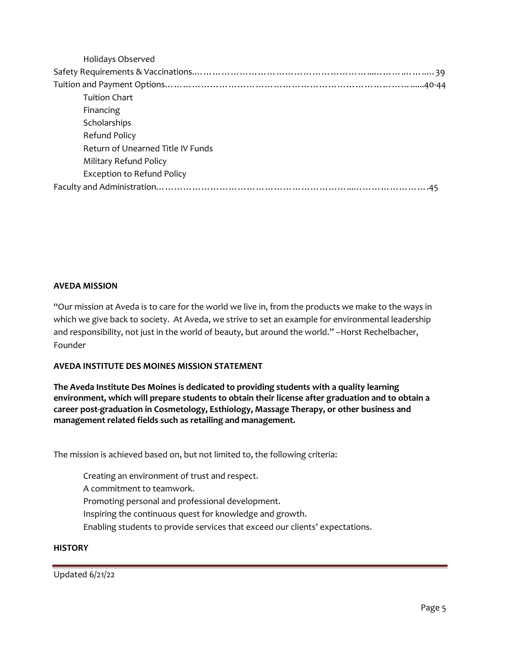| Holidays Observed                        |  |
|------------------------------------------|--|
|                                          |  |
|                                          |  |
| Tuition Chart                            |  |
| Financing                                |  |
| Scholarships                             |  |
| Refund Policy                            |  |
| <b>Return of Unearned Title IV Funds</b> |  |
| Military Refund Policy                   |  |
| <b>Exception to Refund Policy</b>        |  |
|                                          |  |

## **AVEDA MISSION**

"Our mission at Aveda is to care for the world we live in, from the products we make to the ways in which we give back to society. At Aveda, we strive to set an example for environmental leadership and responsibility, not just in the world of beauty, but around the world." –Horst Rechelbacher, Founder

## **AVEDA INSTITUTE DES MOINES MISSION STATEMENT**

**The Aveda Institute Des Moines is dedicated to providing students with a quality learning environment, which will prepare students to obtain their license after graduation and to obtain a career post-graduation in Cosmetology, Esthiology, Massage Therapy, or other business and management related fields such as retailing and management.**

The mission is achieved based on, but not limited to, the following criteria:

Creating an environment of trust and respect.

A commitment to teamwork.

Promoting personal and professional development.

Inspiring the continuous quest for knowledge and growth.

Enabling students to provide services that exceed our clients' expectations.

## **HISTORY**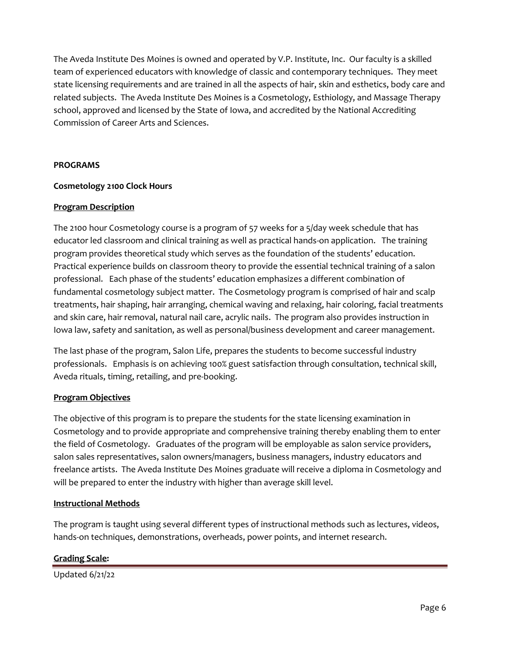The Aveda Institute Des Moines is owned and operated by V.P. Institute, Inc. Our faculty is a skilled team of experienced educators with knowledge of classic and contemporary techniques. They meet state licensing requirements and are trained in all the aspects of hair, skin and esthetics, body care and related subjects. The Aveda Institute Des Moines is a Cosmetology, Esthiology, and Massage Therapy school, approved and licensed by the State of Iowa, and accredited by the National Accrediting Commission of Career Arts and Sciences.

## **PROGRAMS**

## **Cosmetology 2100 Clock Hours**

## **Program Description**

The 2100 hour Cosmetology course is a program of 57 weeks for a 5/day week schedule that has educator led classroom and clinical training as well as practical hands-on application. The training program provides theoretical study which serves as the foundation of the students' education. Practical experience builds on classroom theory to provide the essential technical training of a salon professional. Each phase of the students' education emphasizes a different combination of fundamental cosmetology subject matter. The Cosmetology program is comprised of hair and scalp treatments, hair shaping, hair arranging, chemical waving and relaxing, hair coloring, facial treatments and skin care, hair removal, natural nail care, acrylic nails. The program also provides instruction in Iowa law, safety and sanitation, as well as personal/business development and career management.

The last phase of the program, Salon Life, prepares the students to become successful industry professionals. Emphasis is on achieving 100% guest satisfaction through consultation, technical skill, Aveda rituals, timing, retailing, and pre-booking.

## **Program Objectives**

The objective of this program is to prepare the students for the state licensing examination in Cosmetology and to provide appropriate and comprehensive training thereby enabling them to enter the field of Cosmetology. Graduates of the program will be employable as salon service providers, salon sales representatives, salon owners/managers, business managers, industry educators and freelance artists. The Aveda Institute Des Moines graduate will receive a diploma in Cosmetology and will be prepared to enter the industry with higher than average skill level.

## **Instructional Methods**

The program is taught using several different types of instructional methods such as lectures, videos, hands-on techniques, demonstrations, overheads, power points, and internet research.

## **Grading Scale:**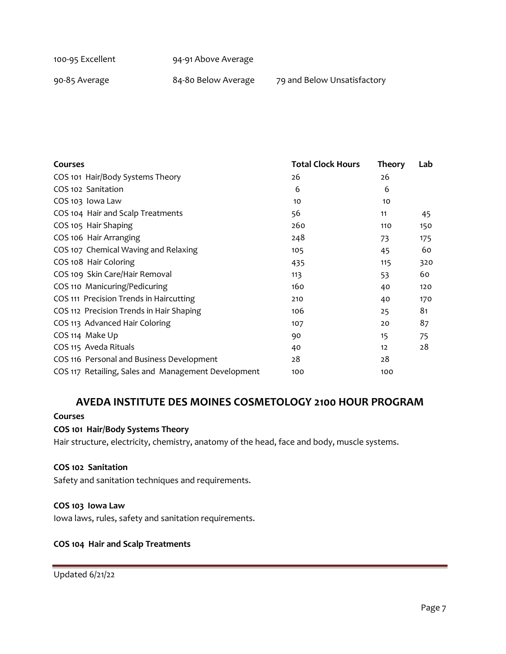| 100-95 Excellent | 94-91 Above Average |
|------------------|---------------------|
|                  |                     |

90-85 Average **84-80 Below Average** 79 and Below Unsatisfactory

| <b>Courses</b>                                      | <b>Total Clock Hours</b> | <b>Theory</b> | Lab |
|-----------------------------------------------------|--------------------------|---------------|-----|
| COS 101 Hair/Body Systems Theory                    | 26                       | 26            |     |
| COS 102 Sanitation                                  | 6                        | 6             |     |
| COS 103 Iowa Law                                    | 10                       | 10            |     |
| COS 104 Hair and Scalp Treatments                   | 56                       | 11            | 45  |
| COS 105 Hair Shaping                                | 260                      | 110           | 150 |
| COS 106 Hair Arranging                              | 248                      | 73            | 175 |
| COS 107 Chemical Waving and Relaxing                | 105                      | 45            | 60  |
| COS 108 Hair Coloring                               | 435                      | 115           | 320 |
| COS 109 Skin Care/Hair Removal                      | 113                      | 53            | 60  |
| COS 110 Manicuring/Pedicuring                       | 160                      | 40            | 120 |
| COS 111 Precision Trends in Haircutting             | 210                      | 40            | 170 |
| COS 112 Precision Trends in Hair Shaping            | 106                      | 25            | 81  |
| COS 113 Advanced Hair Coloring                      | 107                      | 20            | 87  |
| COS 114 Make Up                                     | 90                       | 15            | 75  |
| COS 115 Aveda Rituals                               | 40                       | 12            | 28  |
| COS 116 Personal and Business Development           | 28                       | 28            |     |
| COS 117 Retailing, Sales and Management Development | 100                      | 100           |     |

# **AVEDA INSTITUTE DES MOINES COSMETOLOGY 2100 HOUR PROGRAM**

#### **Courses**

# **COS 101 Hair/Body Systems Theory**

Hair structure, electricity, chemistry, anatomy of the head, face and body, muscle systems.

#### **COS 102 Sanitation**

Safety and sanitation techniques and requirements.

#### **COS 103 Iowa Law**

Iowa laws, rules, safety and sanitation requirements.

#### **COS 104 Hair and Scalp Treatments**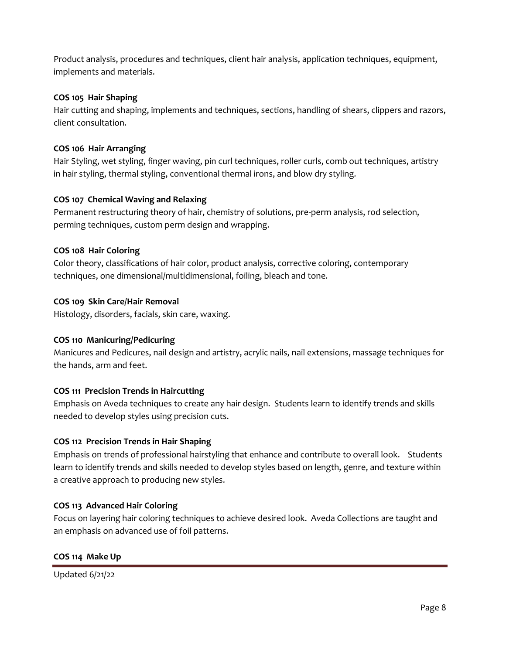Product analysis, procedures and techniques, client hair analysis, application techniques, equipment, implements and materials.

## **COS 105 Hair Shaping**

Hair cutting and shaping, implements and techniques, sections, handling of shears, clippers and razors, client consultation.

## **COS 106 Hair Arranging**

Hair Styling, wet styling, finger waving, pin curl techniques, roller curls, comb out techniques, artistry in hair styling, thermal styling, conventional thermal irons, and blow dry styling.

## **COS 107 Chemical Waving and Relaxing**

Permanent restructuring theory of hair, chemistry of solutions, pre-perm analysis, rod selection, perming techniques, custom perm design and wrapping.

## **COS 108 Hair Coloring**

Color theory, classifications of hair color, product analysis, corrective coloring, contemporary techniques, one dimensional/multidimensional, foiling, bleach and tone.

## **COS 109 Skin Care/Hair Removal**

Histology, disorders, facials, skin care, waxing.

## **COS 110 Manicuring/Pedicuring**

Manicures and Pedicures, nail design and artistry, acrylic nails, nail extensions, massage techniques for the hands, arm and feet.

## **COS 111 Precision Trends in Haircutting**

Emphasis on Aveda techniques to create any hair design. Students learn to identify trends and skills needed to develop styles using precision cuts.

## **COS 112 Precision Trends in Hair Shaping**

Emphasis on trends of professional hairstyling that enhance and contribute to overall look. Students learn to identify trends and skills needed to develop styles based on length, genre, and texture within a creative approach to producing new styles.

## **COS 113 Advanced Hair Coloring**

Focus on layering hair coloring techniques to achieve desired look. Aveda Collections are taught and an emphasis on advanced use of foil patterns.

## **COS 114 Make Up**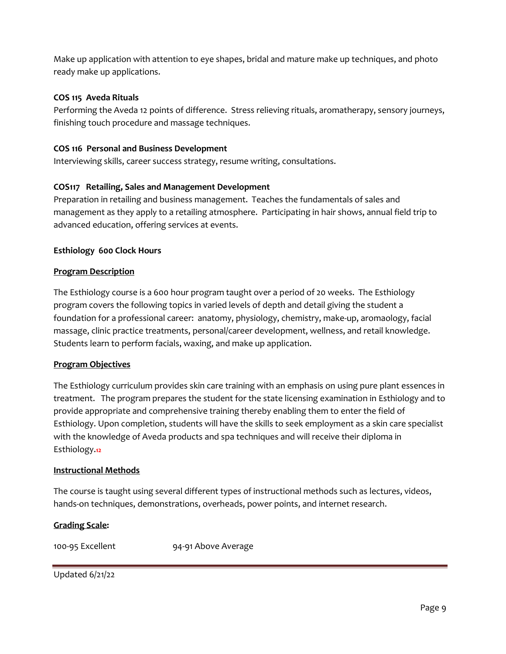Make up application with attention to eye shapes, bridal and mature make up techniques, and photo ready make up applications.

## **COS 115 Aveda Rituals**

Performing the Aveda 12 points of difference. Stress relieving rituals, aromatherapy, sensory journeys, finishing touch procedure and massage techniques.

## **COS 116 Personal and Business Development**

Interviewing skills, career success strategy, resume writing, consultations.

### **COS117 Retailing, Sales and Management Development**

Preparation in retailing and business management. Teaches the fundamentals of sales and management as they apply to a retailing atmosphere. Participating in hair shows, annual field trip to advanced education, offering services at events.

### **Esthiology 600 Clock Hours**

#### **Program Description**

The Esthiology course is a 600 hour program taught over a period of 20 weeks. The Esthiology program covers the following topics in varied levels of depth and detail giving the student a foundation for a professional career: anatomy, physiology, chemistry, make-up, aromaology, facial massage, clinic practice treatments, personal/career development, wellness, and retail knowledge. Students learn to perform facials, waxing, and make up application.

#### **Program Objectives**

The Esthiology curriculum provides skin care training with an emphasis on using pure plant essences in treatment. The program prepares the student for the state licensing examination in Esthiology and to provide appropriate and comprehensive training thereby enabling them to enter the field of Esthiology. Upon completion, students will have the skills to seek employment as a skin care specialist with the knowledge of Aveda products and spa techniques and will receive their diploma in Esthiology.**12**

#### **Instructional Methods**

The course is taught using several different types of instructional methods such as lectures, videos, hands-on techniques, demonstrations, overheads, power points, and internet research.

#### **Grading Scale:**

100-95 Excellent 94-91 Above Average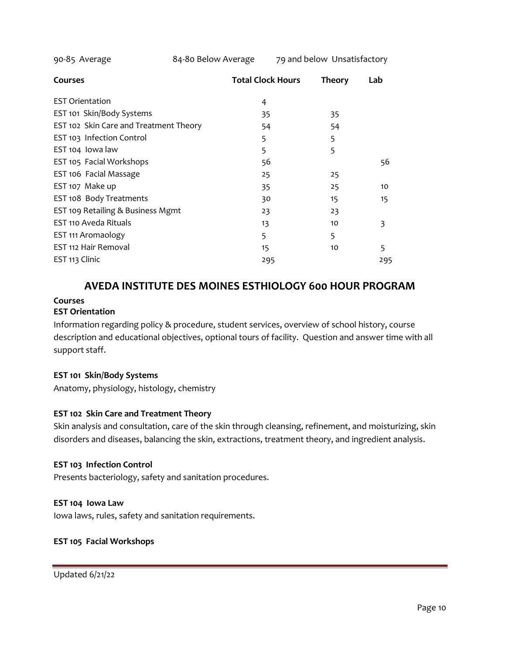|     | <b>Theory</b>            | Lab |
|-----|--------------------------|-----|
| 4   |                          |     |
| 35  | 35                       |     |
| 54  | 54                       |     |
| 5   | 5                        |     |
| 5   | 5                        |     |
| 56  |                          | 56  |
| 25  | 25                       |     |
| 35  | 25                       | 10  |
| 30  | 15                       | 15  |
| 23  | 23                       |     |
| 13  | 10                       | 3   |
| 5   | 5                        |     |
| 15  | 10                       | 5   |
| 295 |                          | 295 |
|     | <b>Total Clock Hours</b> |     |

# **AVEDA INSTITUTE DES MOINES ESTHIOLOGY 600 HOUR PROGRAM**

## **Courses**

### **EST Orientation**

Information regarding policy & procedure, student services, overview of school history, course description and educational objectives, optional tours of facility. Question and answer time with all support staff.

#### **EST 101 Skin/Body Systems**

Anatomy, physiology, histology, chemistry

## **EST 102 Skin Care and Treatment Theory**

Skin analysis and consultation, care of the skin through cleansing, refinement, and moisturizing, skin disorders and diseases, balancing the skin, extractions, treatment theory, and ingredient analysis.

#### **EST 103 Infection Control**

Presents bacteriology, safety and sanitation procedures.

#### **EST 104 Iowa Law**

Iowa laws, rules, safety and sanitation requirements.

#### **EST 105 Facial Workshops**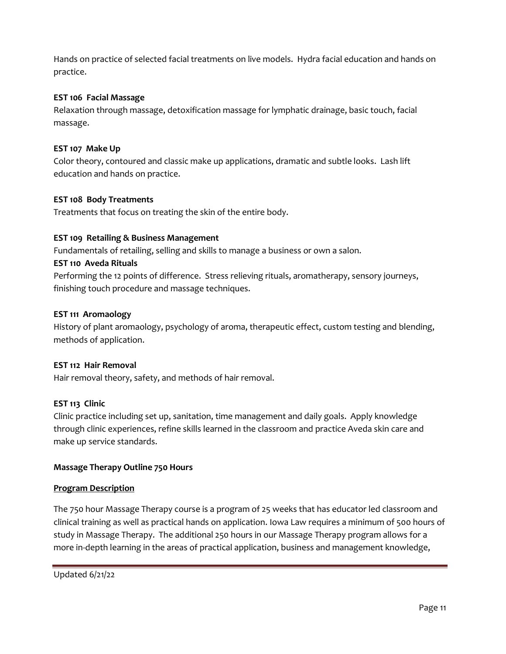Hands on practice of selected facial treatments on live models. Hydra facial education and hands on practice.

# **EST 106 Facial Massage**

Relaxation through massage, detoxification massage for lymphatic drainage, basic touch, facial massage.

## **EST 107 Make Up**

Color theory, contoured and classic make up applications, dramatic and subtle looks. Lash lift education and hands on practice.

## **EST 108 Body Treatments**

Treatments that focus on treating the skin of the entire body.

## **EST 109 Retailing & Business Management**

Fundamentals of retailing, selling and skills to manage a business or own a salon.

## **EST 110 Aveda Rituals**

Performing the 12 points of difference. Stress relieving rituals, aromatherapy, sensory journeys, finishing touch procedure and massage techniques.

## **EST 111 Aromaology**

History of plant aromaology, psychology of aroma, therapeutic effect, custom testing and blending, methods of application.

## **EST 112 Hair Removal**

Hair removal theory, safety, and methods of hair removal.

# **EST 113 Clinic**

Clinic practice including set up, sanitation, time management and daily goals. Apply knowledge through clinic experiences, refine skills learned in the classroom and practice Aveda skin care and make up service standards.

## **Massage Therapy Outline 750 Hours**

## **Program Description**

The 750 hour Massage Therapy course is a program of 25 weeks that has educator led classroom and clinical training as well as practical hands on application. Iowa Law requires a minimum of 500 hours of study in Massage Therapy. The additional 250 hours in our Massage Therapy program allows for a more in-depth learning in the areas of practical application, business and management knowledge,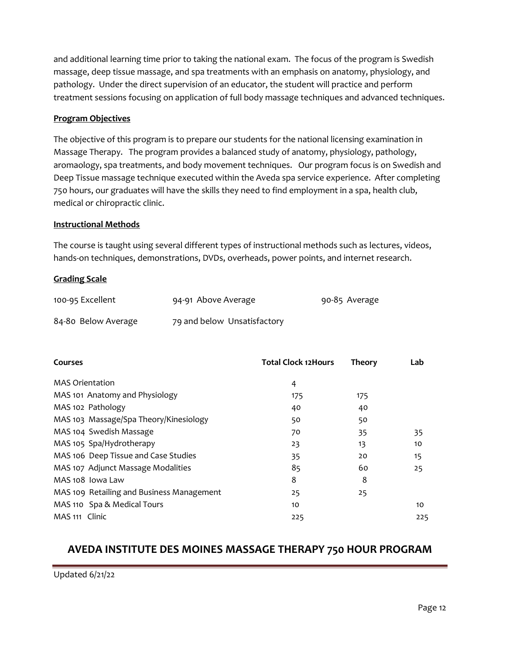and additional learning time prior to taking the national exam. The focus of the program is Swedish massage, deep tissue massage, and spa treatments with an emphasis on anatomy, physiology, and pathology. Under the direct supervision of an educator, the student will practice and perform treatment sessions focusing on application of full body massage techniques and advanced techniques.

## **Program Objectives**

The objective of this program is to prepare our students for the national licensing examination in Massage Therapy. The program provides a balanced study of anatomy, physiology, pathology, aromaology, spa treatments, and body movement techniques. Our program focus is on Swedish and Deep Tissue massage technique executed within the Aveda spa service experience. After completing 750 hours, our graduates will have the skills they need to find employment in a spa, health club, medical or chiropractic clinic.

#### **Instructional Methods**

The course is taught using several different types of instructional methods such as lectures, videos, hands-on techniques, demonstrations, DVDs, overheads, power points, and internet research.

#### **Grading Scale**

| 100-95 Excellent    | 94-91 Above Average         | 90-85 Average |
|---------------------|-----------------------------|---------------|
| 84-80 Below Average | 79 and below Unsatisfactory |               |

| Courses                                   | <b>Total Clock 12Hours</b> | <b>Theory</b> | Lab |
|-------------------------------------------|----------------------------|---------------|-----|
| <b>MAS Orientation</b>                    | 4                          |               |     |
| MAS 101 Anatomy and Physiology            | 175                        | 175           |     |
| MAS 102 Pathology                         | 40                         | 40            |     |
| MAS 103 Massage/Spa Theory/Kinesiology    | 50                         | 50            |     |
| MAS 104 Swedish Massage                   | 70                         | 35            | 35  |
| MAS 105 Spa/Hydrotherapy                  | 23                         | 13            | 10  |
| MAS 106 Deep Tissue and Case Studies      | 35                         | 20            | 15  |
| MAS 107 Adjunct Massage Modalities        | 85                         | 60            | 25  |
| MAS 108 Iowa Law                          | 8                          | 8             |     |
| MAS 109 Retailing and Business Management | 25                         | 25            |     |
| MAS 110 Spa & Medical Tours               | 10                         |               | 10  |
| MAS 111 Clinic                            | 225                        |               | 225 |

# **AVEDA INSTITUTE DES MOINES MASSAGE THERAPY 750 HOUR PROGRAM**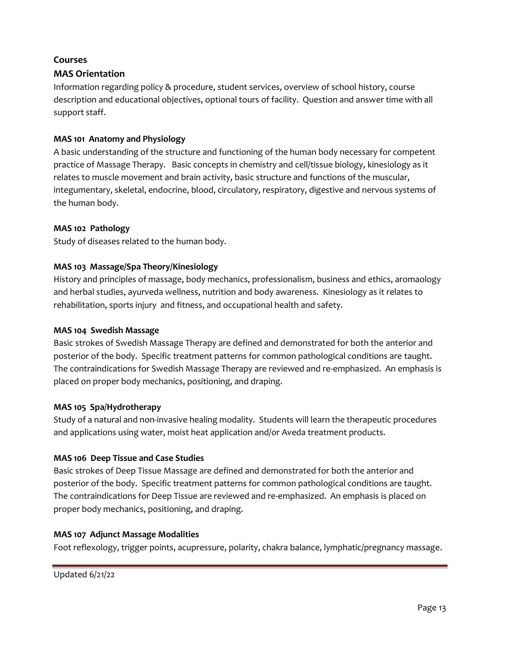## **Courses**

# **MAS Orientation**

Information regarding policy & procedure, student services, overview of school history, course description and educational objectives, optional tours of facility. Question and answer time with all support staff.

## **MAS 101 Anatomy and Physiology**

A basic understanding of the structure and functioning of the human body necessary for competent practice of Massage Therapy. Basic concepts in chemistry and cell/tissue biology, kinesiology as it relates to muscle movement and brain activity, basic structure and functions of the muscular, integumentary, skeletal, endocrine, blood, circulatory, respiratory, digestive and nervous systems of the human body.

## **MAS 102 Pathology**

Study of diseases related to the human body.

## **MAS 103 Massage/Spa Theory/Kinesiology**

History and principles of massage, body mechanics, professionalism, business and ethics, aromaology and herbal studies, ayurveda wellness, nutrition and body awareness. Kinesiology as it relates to rehabilitation, sports injury and fitness, and occupational health and safety.

## **MAS 104 Swedish Massage**

Basic strokes of Swedish Massage Therapy are defined and demonstrated for both the anterior and posterior of the body. Specific treatment patterns for common pathological conditions are taught. The contraindications for Swedish Massage Therapy are reviewed and re-emphasized. An emphasis is placed on proper body mechanics, positioning, and draping.

## **MAS 105 Spa/Hydrotherapy**

Study of a natural and non-invasive healing modality. Students will learn the therapeutic procedures and applications using water, moist heat application and/or Aveda treatment products.

## **MAS 106 Deep Tissue and Case Studies**

Basic strokes of Deep Tissue Massage are defined and demonstrated for both the anterior and posterior of the body. Specific treatment patterns for common pathological conditions are taught. The contraindications for Deep Tissue are reviewed and re-emphasized. An emphasis is placed on proper body mechanics, positioning, and draping.

## **MAS 107 Adjunct Massage Modalities**

Foot reflexology, trigger points, acupressure, polarity, chakra balance, lymphatic/pregnancy massage.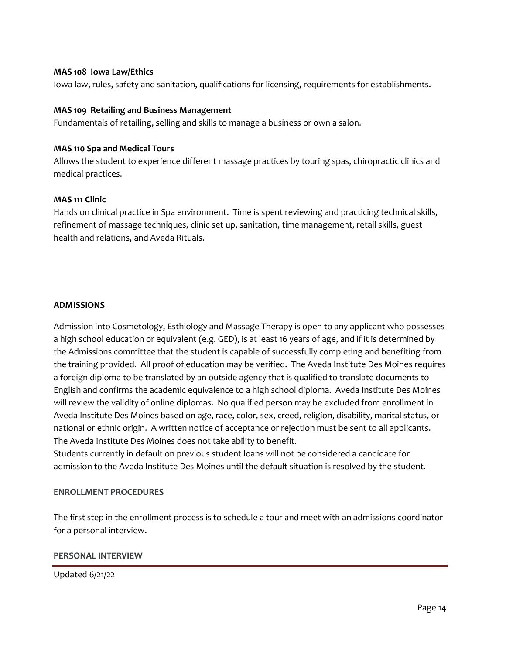#### **MAS 108 Iowa Law/Ethics**

Iowa law, rules, safety and sanitation, qualifications for licensing, requirements for establishments.

#### **MAS 109 Retailing and Business Management**

Fundamentals of retailing, selling and skills to manage a business or own a salon.

#### **MAS 110 Spa and Medical Tours**

Allows the student to experience different massage practices by touring spas, chiropractic clinics and medical practices.

### **MAS 111 Clinic**

Hands on clinical practice in Spa environment. Time is spent reviewing and practicing technical skills, refinement of massage techniques, clinic set up, sanitation, time management, retail skills, guest health and relations, and Aveda Rituals.

### **ADMISSIONS**

Admission into Cosmetology, Esthiology and Massage Therapy is open to any applicant who possesses a high school education or equivalent (e.g. GED), is at least 16 years of age, and if it is determined by the Admissions committee that the student is capable of successfully completing and benefiting from the training provided. All proof of education may be verified. The Aveda Institute Des Moines requires a foreign diploma to be translated by an outside agency that is qualified to translate documents to English and confirms the academic equivalence to a high school diploma. Aveda Institute Des Moines will review the validity of online diplomas. No qualified person may be excluded from enrollment in Aveda Institute Des Moines based on age, race, color, sex, creed, religion, disability, marital status, or national or ethnic origin. A written notice of acceptance or rejection must be sent to all applicants. The Aveda Institute Des Moines does not take ability to benefit.

Students currently in default on previous student loans will not be considered a candidate for admission to the Aveda Institute Des Moines until the default situation is resolved by the student.

## **ENROLLMENT PROCEDURES**

The first step in the enrollment process is to schedule a tour and meet with an admissions coordinator for a personal interview.

#### **PERSONAL INTERVIEW**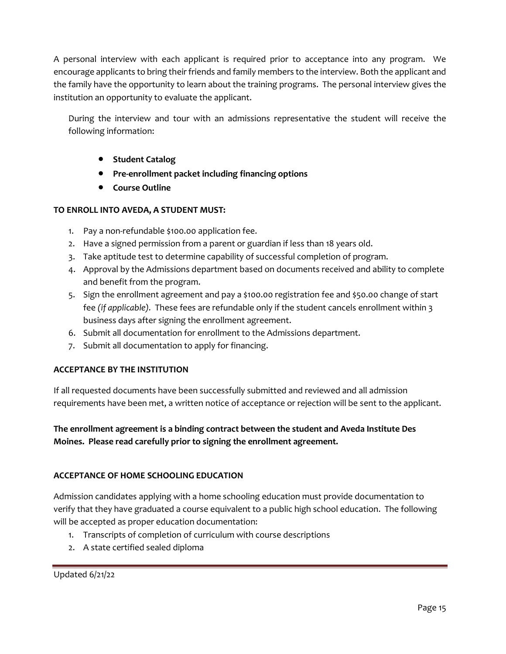A personal interview with each applicant is required prior to acceptance into any program. We encourage applicants to bring their friends and family members to the interview. Both the applicant and the family have the opportunity to learn about the training programs. The personal interview gives the institution an opportunity to evaluate the applicant.

During the interview and tour with an admissions representative the student will receive the following information:

- **Student Catalog**
- **Pre-enrollment packet including financing options**
- **Course Outline**

## **TO ENROLL INTO AVEDA, A STUDENT MUST:**

- 1. Pay a non-refundable \$100.00 application fee.
- 2. Have a signed permission from a parent or guardian if less than 18 years old.
- 3. Take aptitude test to determine capability of successful completion of program.
- 4. Approval by the Admissions department based on documents received and ability to complete and benefit from the program.
- 5. Sign the enrollment agreement and pay a \$100.00 registration fee and \$50.00 change of start fee *(if applicable).* These fees are refundable only if the student cancels enrollment within 3 business days after signing the enrollment agreement.
- 6. Submit all documentation for enrollment to the Admissions department.
- 7. Submit all documentation to apply for financing.

## **ACCEPTANCE BY THE INSTITUTION**

If all requested documents have been successfully submitted and reviewed and all admission requirements have been met, a written notice of acceptance or rejection will be sent to the applicant.

**The enrollment agreement is a binding contract between the student and Aveda Institute Des Moines. Please read carefully prior to signing the enrollment agreement.**

#### **ACCEPTANCE OF HOME SCHOOLING EDUCATION**

Admission candidates applying with a home schooling education must provide documentation to verify that they have graduated a course equivalent to a public high school education. The following will be accepted as proper education documentation:

- 1. Transcripts of completion of curriculum with course descriptions
- 2. A state certified sealed diploma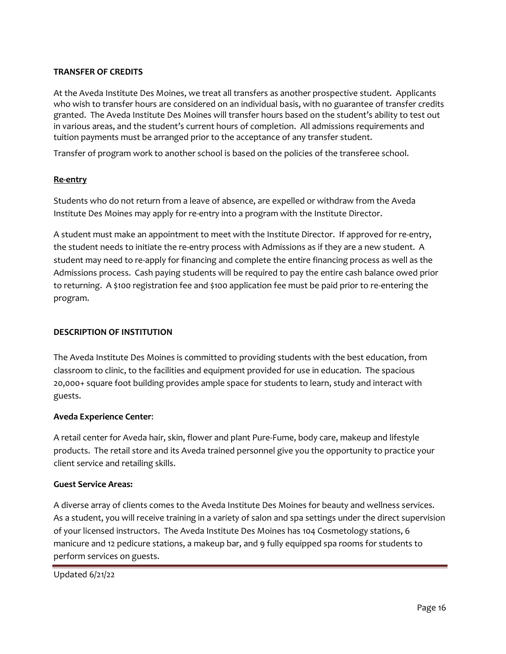## **TRANSFER OF CREDITS**

At the Aveda Institute Des Moines, we treat all transfers as another prospective student. Applicants who wish to transfer hours are considered on an individual basis, with no guarantee of transfer credits granted. The Aveda Institute Des Moines will transfer hours based on the student's ability to test out in various areas, and the student's current hours of completion. All admissions requirements and tuition payments must be arranged prior to the acceptance of any transfer student.

Transfer of program work to another school is based on the policies of the transferee school.

### **Re-entry**

Students who do not return from a leave of absence, are expelled or withdraw from the Aveda Institute Des Moines may apply for re-entry into a program with the Institute Director.

A student must make an appointment to meet with the Institute Director. If approved for re-entry, the student needs to initiate the re-entry process with Admissions as if they are a new student. A student may need to re-apply for financing and complete the entire financing process as well as the Admissions process. Cash paying students will be required to pay the entire cash balance owed prior to returning. A \$100 registration fee and \$100 application fee must be paid prior to re-entering the program.

#### **DESCRIPTION OF INSTITUTION**

The Aveda Institute Des Moines is committed to providing students with the best education, from classroom to clinic, to the facilities and equipment provided for use in education. The spacious 20,000+ square foot building provides ample space for students to learn, study and interact with guests.

#### **Aveda Experience Center**:

A retail center for Aveda hair, skin, flower and plant Pure-Fume, body care, makeup and lifestyle products. The retail store and its Aveda trained personnel give you the opportunity to practice your client service and retailing skills.

#### **Guest Service Areas:**

A diverse array of clients comes to the Aveda Institute Des Moines for beauty and wellness services. As a student, you will receive training in a variety of salon and spa settings under the direct supervision of your licensed instructors. The Aveda Institute Des Moines has 104 Cosmetology stations, 6 manicure and 12 pedicure stations, a makeup bar, and 9 fully equipped spa rooms for students to perform services on guests.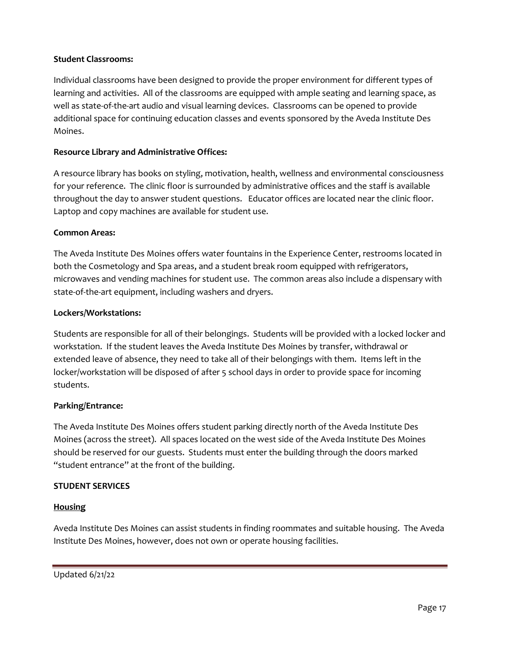## **Student Classrooms:**

Individual classrooms have been designed to provide the proper environment for different types of learning and activities. All of the classrooms are equipped with ample seating and learning space, as well as state-of-the-art audio and visual learning devices. Classrooms can be opened to provide additional space for continuing education classes and events sponsored by the Aveda Institute Des Moines.

### **Resource Library and Administrative Offices:**

A resource library has books on styling, motivation, health, wellness and environmental consciousness for your reference. The clinic floor is surrounded by administrative offices and the staff is available throughout the day to answer student questions. Educator offices are located near the clinic floor. Laptop and copy machines are available for student use.

#### **Common Areas:**

The Aveda Institute Des Moines offers water fountains in the Experience Center, restrooms located in both the Cosmetology and Spa areas, and a student break room equipped with refrigerators, microwaves and vending machines for student use. The common areas also include a dispensary with state-of-the-art equipment, including washers and dryers.

### **Lockers/Workstations:**

Students are responsible for all of their belongings. Students will be provided with a locked locker and workstation. If the student leaves the Aveda Institute Des Moines by transfer, withdrawal or extended leave of absence, they need to take all of their belongings with them. Items left in the locker/workstation will be disposed of after 5 school days in order to provide space for incoming students.

#### **Parking/Entrance:**

The Aveda Institute Des Moines offers student parking directly north of the Aveda Institute Des Moines (across the street). All spaces located on the west side of the Aveda Institute Des Moines should be reserved for our guests. Students must enter the building through the doors marked "student entrance" at the front of the building.

#### **STUDENT SERVICES**

## **Housing**

Aveda Institute Des Moines can assist students in finding roommates and suitable housing. The Aveda Institute Des Moines, however, does not own or operate housing facilities.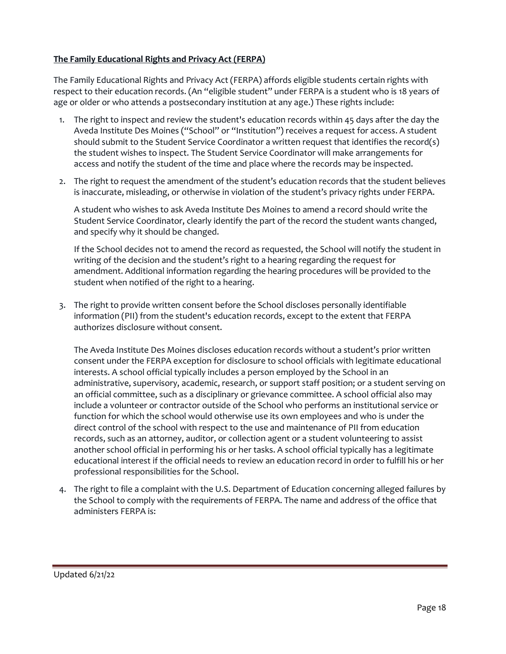## **The Family Educational Rights and Privacy Act (FERPA)**

The Family Educational Rights and Privacy Act (FERPA) affords eligible students certain rights with respect to their education records. (An "eligible student" under FERPA is a student who is 18 years of age or older or who attends a postsecondary institution at any age.) These rights include:

- 1. The right to inspect and review the student's education records within 45 days after the day the Aveda Institute Des Moines ("School" or "Institution") receives a request for access. A student should submit to the Student Service Coordinator a written request that identifies the record(s) the student wishes to inspect. The Student Service Coordinator will make arrangements for access and notify the student of the time and place where the records may be inspected.
- 2. The right to request the amendment of the student's education records that the student believes is inaccurate, misleading, or otherwise in violation of the student's privacy rights under FERPA.

A student who wishes to ask Aveda Institute Des Moines to amend a record should write the Student Service Coordinator, clearly identify the part of the record the student wants changed, and specify why it should be changed.

If the School decides not to amend the record as requested, the School will notify the student in writing of the decision and the student's right to a hearing regarding the request for amendment. Additional information regarding the hearing procedures will be provided to the student when notified of the right to a hearing.

3. The right to provide written consent before the School discloses personally identifiable information (PII) from the student's education records, except to the extent that FERPA authorizes disclosure without consent.

The Aveda Institute Des Moines discloses education records without a student's prior written consent under the FERPA exception for disclosure to school officials with legitimate educational interests. A school official typically includes a person employed by the School in an administrative, supervisory, academic, research, or support staff position; or a student serving on an official committee, such as a disciplinary or grievance committee. A school official also may include a volunteer or contractor outside of the School who performs an institutional service or function for which the school would otherwise use its own employees and who is under the direct control of the school with respect to the use and maintenance of PII from education records, such as an attorney, auditor, or collection agent or a student volunteering to assist another school official in performing his or her tasks. A school official typically has a legitimate educational interest if the official needs to review an education record in order to fulfill his or her professional responsibilities for the School.

4. The right to file a complaint with the U.S. Department of Education concerning alleged failures by the School to comply with the requirements of FERPA. The name and address of the office that administers FERPA is: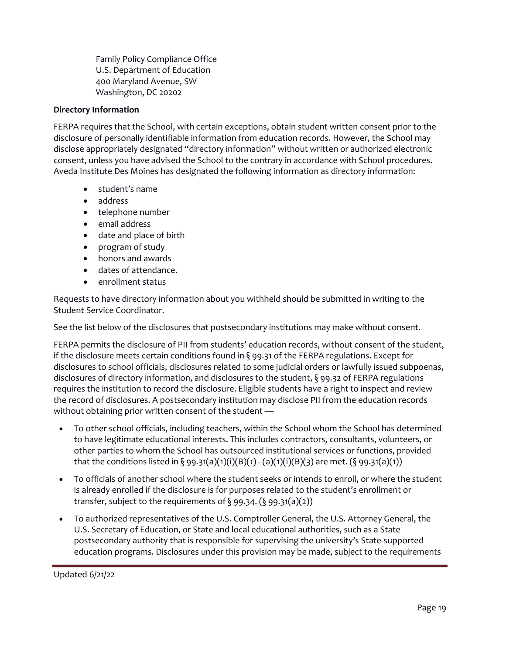Family Policy Compliance Office U.S. Department of Education 400 Maryland Avenue, SW Washington, DC 20202

## **Directory Information**

FERPA requires that the School, with certain exceptions, obtain student written consent prior to the disclosure of personally identifiable information from education records. However, the School may disclose appropriately designated "directory information" without written or authorized electronic consent, unless you have advised the School to the contrary in accordance with School procedures. Aveda Institute Des Moines has designated the following information as directory information:

- student's name
- address
- telephone number
- email address
- date and place of birth
- program of study
- honors and awards
- dates of attendance.
- enrollment status

Requests to have directory information about you withheld should be submitted in writing to the Student Service Coordinator.

See the list below of the disclosures that postsecondary institutions may make without consent.

FERPA permits the disclosure of PII from students' education records, without consent of the student, if the disclosure meets certain conditions found in § 99.31 of the FERPA regulations. Except for disclosures to school officials, disclosures related to some judicial orders or lawfully issued subpoenas, disclosures of directory information, and disclosures to the student, § 99.32 of FERPA regulations requires the institution to record the disclosure. Eligible students have a right to inspect and review the record of disclosures. A postsecondary institution may disclose PII from the education records without obtaining prior written consent of the student —

- To other school officials, including teachers, within the School whom the School has determined to have legitimate educational interests. This includes contractors, consultants, volunteers, or other parties to whom the School has outsourced institutional services or functions, provided that the conditions listed in § 99.31(a)(1)(i)(B)(*1*) - (a)(1)(i)(B)(*3*) are met. (§ 99.31(a)(1))
- To officials of another school where the student seeks or intends to enroll, or where the student is already enrolled if the disclosure is for purposes related to the student's enrollment or transfer, subject to the requirements of  $\S$  99.34. ( $\S$  99.31(a)(2))
- To authorized representatives of the U.S. Comptroller General, the U.S. Attorney General, the U.S. Secretary of Education, or State and local educational authorities, such as a State postsecondary authority that is responsible for supervising the university's State-supported education programs. Disclosures under this provision may be made, subject to the requirements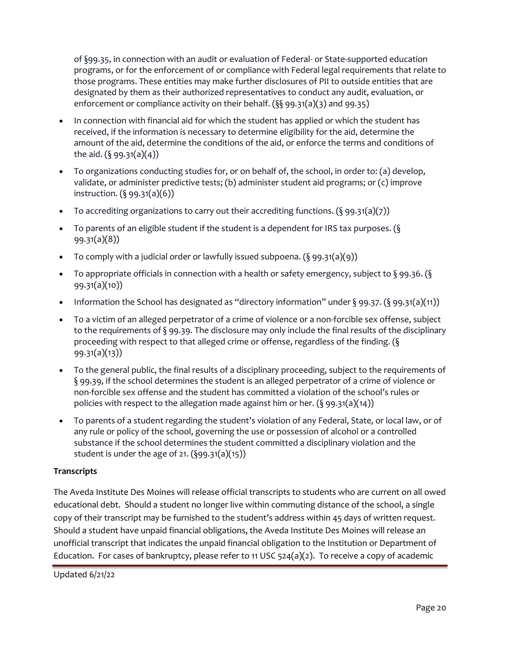of §99.35, in connection with an audit or evaluation of Federal- or State-supported education programs, or for the enforcement of or compliance with Federal legal requirements that relate to those programs. These entities may make further disclosures of PII to outside entities that are designated by them as their authorized representatives to conduct any audit, evaluation, or enforcement or compliance activity on their behalf. (§§ 99.31(a)(3) and 99.35)

- In connection with financial aid for which the student has applied or which the student has received, if the information is necessary to determine eligibility for the aid, determine the amount of the aid, determine the conditions of the aid, or enforce the terms and conditions of the aid.  $(\S$  99.31(a)(4))
- To organizations conducting studies for, or on behalf of, the school, in order to: (a) develop, validate, or administer predictive tests; (b) administer student aid programs; or (c) improve instruction. (§ 99.31(a)(6))
- To accrediting organizations to carry out their accrediting functions.  $(\xi \cdot 99.31(a)(7))$
- To parents of an eligible student if the student is a dependent for IRS tax purposes. ( $\S$ 99.31(a)(8))
- To comply with a judicial order or lawfully issued subpoena.  $(\S$  99.31(a)(9))
- To appropriate officials in connection with a health or safety emergency, subject to  $\S$  99.36. ( $\S$ 99.31(a)(10))
- Information the School has designated as "directory information" under  $\S$  99.37. ( $\S$  99.31(a)(11))
- To a victim of an alleged perpetrator of a crime of violence or a non-forcible sex offense, subject to the requirements of § 99.39. The disclosure may only include the final results of the disciplinary proceeding with respect to that alleged crime or offense, regardless of the finding. (§ 99.31(a)(13))
- To the general public, the final results of a disciplinary proceeding, subject to the requirements of § 99.39, if the school determines the student is an alleged perpetrator of a crime of violence or non-forcible sex offense and the student has committed a violation of the school's rules or policies with respect to the allegation made against him or her.  $(\S$  99.31(a)(14))
- To parents of a student regarding the student's violation of any Federal, State, or local law, or of any rule or policy of the school, governing the use or possession of alcohol or a controlled substance if the school determines the student committed a disciplinary violation and the student is under the age of 21. (§99.31(a)(15))

# **Transcripts**

The Aveda Institute Des Moines will release official transcripts to students who are current on all owed educational debt. Should a student no longer live within commuting distance of the school, a single copy of their transcript may be furnished to the student's address within 45 days of written request. Should a student have unpaid financial obligations, the Aveda Institute Des Moines will release an unofficial transcript that indicates the unpaid financial obligation to the Institution or Department of Education. For cases of bankruptcy, please refer to 11 USC  $524(a)(2)$ . To receive a copy of academic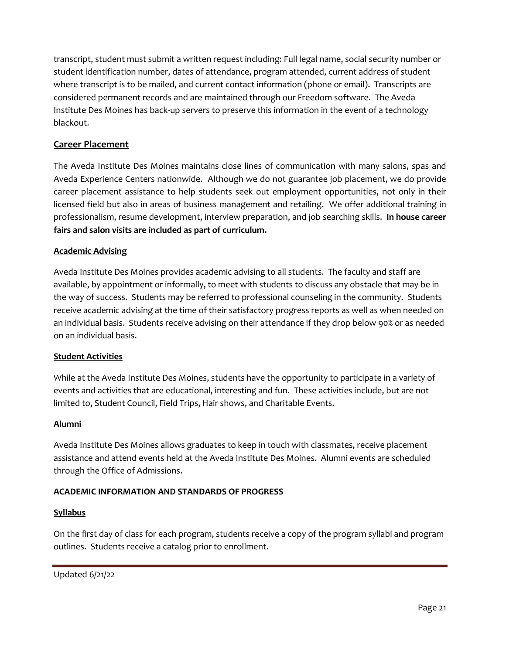transcript, student must submit a written request including: Full legal name, social security number or student identification number, dates of attendance, program attended, current address of student where transcript is to be mailed, and current contact information (phone or email). Transcripts are considered permanent records and are maintained through our Freedom software. The Aveda Institute Des Moines has back-up servers to preserve this information in the event of a technology blackout.

# **Career Placement**

The Aveda Institute Des Moines maintains close lines of communication with many salons, spas and Aveda Experience Centers nationwide. Although we do not guarantee job placement, we do provide career placement assistance to help students seek out employment opportunities, not only in their licensed field but also in areas of business management and retailing. We offer additional training in professionalism, resume development, interview preparation, and job searching skills. **In house career fairs and salon visits are included as part of curriculum.**

## **Academic Advising**

Aveda Institute Des Moines provides academic advising to all students. The faculty and staff are available, by appointment or informally, to meet with students to discuss any obstacle that may be in the way of success. Students may be referred to professional counseling in the community. Students receive academic advising at the time of their satisfactory progress reports as well as when needed on an individual basis. Students receive advising on their attendance if they drop below 90% or as needed on an individual basis.

## **Student Activities**

While at the Aveda Institute Des Moines, students have the opportunity to participate in a variety of events and activities that are educational, interesting and fun. These activities include, but are not limited to, Student Council, Field Trips, Hair shows, and Charitable Events.

## **Alumni**

Aveda Institute Des Moines allows graduates to keep in touch with classmates, receive placement assistance and attend events held at the Aveda Institute Des Moines. Alumni events are scheduled through the Office of Admissions.

## **ACADEMIC INFORMATION AND STANDARDS OF PROGRESS**

## **Syllabus**

On the first day of class for each program, students receive a copy of the program syllabi and program outlines. Students receive a catalog prior to enrollment.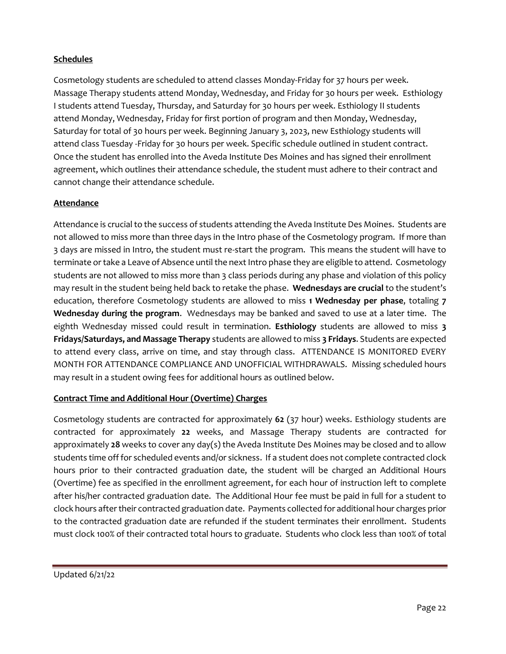# **Schedules**

Cosmetology students are scheduled to attend classes Monday-Friday for 37 hours per week. Massage Therapy students attend Monday, Wednesday, and Friday for 30 hours per week. Esthiology I students attend Tuesday, Thursday, and Saturday for 30 hours per week. Esthiology II students attend Monday, Wednesday, Friday for first portion of program and then Monday, Wednesday, Saturday for total of 30 hours per week. Beginning January 3, 2023, new Esthiology students will attend class Tuesday -Friday for 30 hours per week. Specific schedule outlined in student contract. Once the student has enrolled into the Aveda Institute Des Moines and has signed their enrollment agreement, which outlines their attendance schedule, the student must adhere to their contract and cannot change their attendance schedule.

## **Attendance**

Attendance is crucial to the success of students attending the Aveda Institute Des Moines. Students are not allowed to miss more than three days in the Intro phase of the Cosmetology program. If more than 3 days are missed in Intro, the student must re-start the program. This means the student will have to terminate or take a Leave of Absence until the next Intro phase they are eligible to attend. Cosmetology students are not allowed to miss more than 3 class periods during any phase and violation of this policy may result in the student being held back to retake the phase. **Wednesdays are crucial** to the student's education, therefore Cosmetology students are allowed to miss **1 Wednesday per phase**, totaling **7 Wednesday during the program**. Wednesdays may be banked and saved to use at a later time. The eighth Wednesday missed could result in termination. **Esthiology** students are allowed to miss **3 Fridays/Saturdays, and Massage Therapy** students are allowed to miss **3 Fridays**. Students are expected to attend every class, arrive on time, and stay through class. ATTENDANCE IS MONITORED EVERY MONTH FOR ATTENDANCE COMPLIANCE AND UNOFFICIAL WITHDRAWALS. Missing scheduled hours may result in a student owing fees for additional hours as outlined below.

## **Contract Time and Additional Hour (Overtime) Charges**

Cosmetology students are contracted for approximately **62** (37 hour) weeks. Esthiology students are contracted for approximately **22** weeks, and Massage Therapy students are contracted for approximately **28** weeks to cover any day(s) the Aveda Institute Des Moines may be closed and to allow students time off for scheduled events and/or sickness. If a student does not complete contracted clock hours prior to their contracted graduation date, the student will be charged an Additional Hours (Overtime) fee as specified in the enrollment agreement, for each hour of instruction left to complete after his/her contracted graduation date. The Additional Hour fee must be paid in full for a student to clock hours after their contracted graduation date. Payments collected for additional hour charges prior to the contracted graduation date are refunded if the student terminates their enrollment. Students must clock 100% of their contracted total hours to graduate. Students who clock less than 100% of total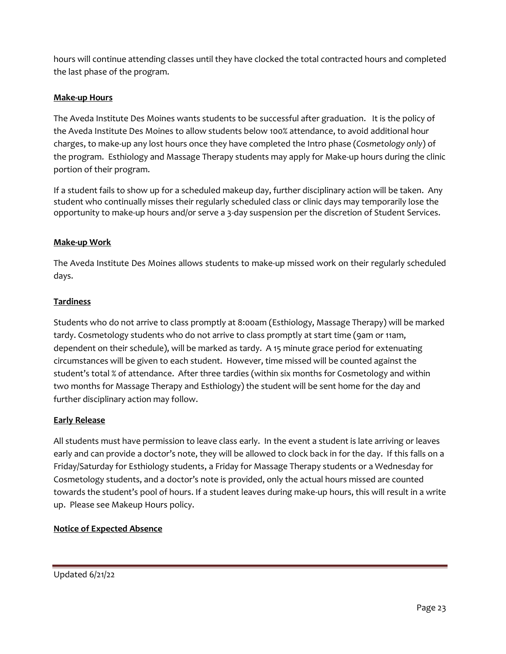hours will continue attending classes until they have clocked the total contracted hours and completed the last phase of the program.

# **Make-up Hours**

The Aveda Institute Des Moines wants students to be successful after graduation. It is the policy of the Aveda Institute Des Moines to allow students below 100% attendance, to avoid additional hour charges, to make-up any lost hours once they have completed the Intro phase (*Cosmetology only*) of the program. Esthiology and Massage Therapy students may apply for Make-up hours during the clinic portion of their program.

If a student fails to show up for a scheduled makeup day, further disciplinary action will be taken. Any student who continually misses their regularly scheduled class or clinic days may temporarily lose the opportunity to make-up hours and/or serve a 3-day suspension per the discretion of Student Services.

## **Make-up Work**

The Aveda Institute Des Moines allows students to make-up missed work on their regularly scheduled days.

### **Tardiness**

Students who do not arrive to class promptly at 8:00am (Esthiology, Massage Therapy) will be marked tardy. Cosmetology students who do not arrive to class promptly at start time (9am or 11am, dependent on their schedule), will be marked as tardy. A 15 minute grace period for extenuating circumstances will be given to each student. However, time missed will be counted against the student's total % of attendance. After three tardies (within six months for Cosmetology and within two months for Massage Therapy and Esthiology) the student will be sent home for the day and further disciplinary action may follow.

## **Early Release**

All students must have permission to leave class early. In the event a student is late arriving or leaves early and can provide a doctor's note, they will be allowed to clock back in for the day. If this falls on a Friday/Saturday for Esthiology students, a Friday for Massage Therapy students or a Wednesday for Cosmetology students, and a doctor's note is provided, only the actual hours missed are counted towards the student's pool of hours. If a student leaves during make-up hours, this will result in a write up. Please see Makeup Hours policy.

## **Notice of Expected Absence**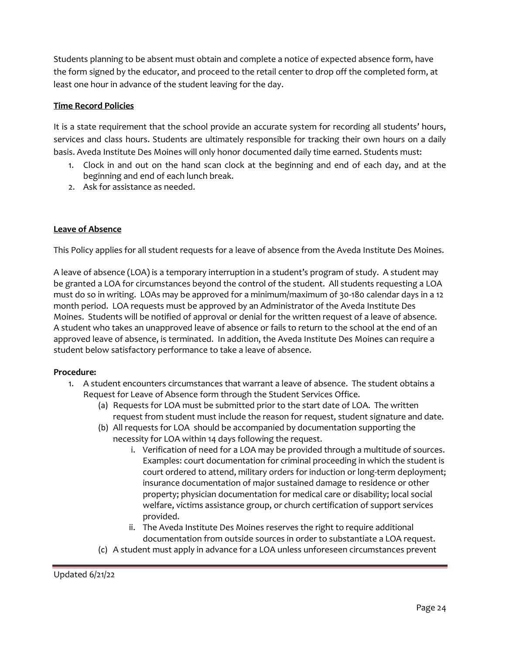Students planning to be absent must obtain and complete a notice of expected absence form, have the form signed by the educator, and proceed to the retail center to drop off the completed form, at least one hour in advance of the student leaving for the day.

## **Time Record Policies**

It is a state requirement that the school provide an accurate system for recording all students' hours, services and class hours. Students are ultimately responsible for tracking their own hours on a daily basis. Aveda Institute Des Moines will only honor documented daily time earned. Students must:

- 1. Clock in and out on the hand scan clock at the beginning and end of each day, and at the beginning and end of each lunch break.
- 2. Ask for assistance as needed.

## **Leave of Absence**

This Policy applies for all student requests for a leave of absence from the Aveda Institute Des Moines.

A leave of absence (LOA) is a temporary interruption in a student's program of study. A student may be granted a LOA for circumstances beyond the control of the student. All students requesting a LOA must do so in writing. LOAs may be approved for a minimum/maximum of 30-180 calendar days in a 12 month period. LOA requests must be approved by an Administrator of the Aveda Institute Des Moines. Students will be notified of approval or denial for the written request of a leave of absence. A student who takes an unapproved leave of absence or fails to return to the school at the end of an approved leave of absence, is terminated. In addition, the Aveda Institute Des Moines can require a student below satisfactory performance to take a leave of absence.

## **Procedure:**

- 1. A student encounters circumstances that warrant a leave of absence. The student obtains a Request for Leave of Absence form through the Student Services Office.
	- (a) Requests for LOA must be submitted prior to the start date of LOA. The written request from student must include the reason for request, student signature and date.
	- (b) All requests for LOA should be accompanied by documentation supporting the necessity for LOA within 14 days following the request.
		- i. Verification of need for a LOA may be provided through a multitude of sources. Examples: court documentation for criminal proceeding in which the student is court ordered to attend, military orders for induction or long-term deployment; insurance documentation of major sustained damage to residence or other property; physician documentation for medical care or disability; local social welfare, victims assistance group, or church certification of support services provided.
		- ii. The Aveda Institute Des Moines reserves the right to require additional documentation from outside sources in order to substantiate a LOA request.
	- (c) A student must apply in advance for a LOA unless unforeseen circumstances prevent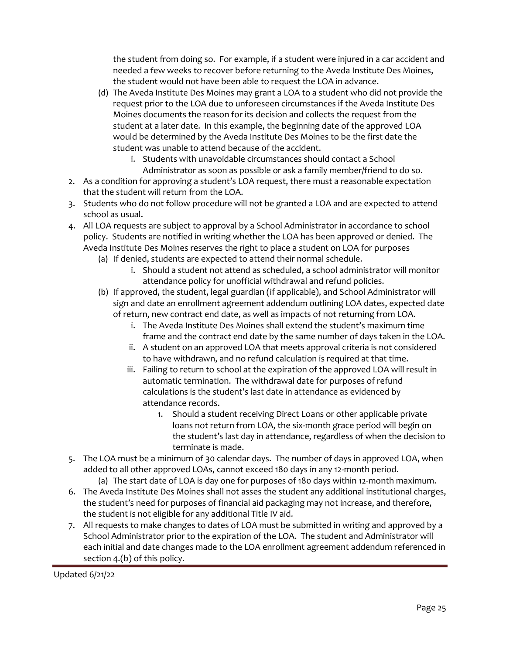the student from doing so. For example, if a student were injured in a car accident and needed a few weeks to recover before returning to the Aveda Institute Des Moines, the student would not have been able to request the LOA in advance.

- (d) The Aveda Institute Des Moines may grant a LOA to a student who did not provide the request prior to the LOA due to unforeseen circumstances if the Aveda Institute Des Moines documents the reason for its decision and collects the request from the student at a later date. In this example, the beginning date of the approved LOA would be determined by the Aveda Institute Des Moines to be the first date the student was unable to attend because of the accident.
	- i. Students with unavoidable circumstances should contact a School
- Administrator as soon as possible or ask a family member/friend to do so. 2. As a condition for approving a student's LOA request, there must a reasonable expectation
- that the student will return from the LOA.
- 3. Students who do not follow procedure will not be granted a LOA and are expected to attend school as usual.
- 4. All LOA requests are subject to approval by a School Administrator in accordance to school policy. Students are notified in writing whether the LOA has been approved or denied. The Aveda Institute Des Moines reserves the right to place a student on LOA for purposes
	- (a) If denied, students are expected to attend their normal schedule.
		- i. Should a student not attend as scheduled, a school administrator will monitor attendance policy for unofficial withdrawal and refund policies.
	- (b) If approved, the student, legal guardian (if applicable), and School Administrator will sign and date an enrollment agreement addendum outlining LOA dates, expected date of return, new contract end date, as well as impacts of not returning from LOA.
		- i. The Aveda Institute Des Moines shall extend the student's maximum time frame and the contract end date by the same number of days taken in the LOA.
		- ii. A student on an approved LOA that meets approval criteria is not considered to have withdrawn, and no refund calculation is required at that time.
		- iii. Failing to return to school at the expiration of the approved LOA will result in automatic termination. The withdrawal date for purposes of refund calculations is the student's last date in attendance as evidenced by attendance records.
			- 1. Should a student receiving Direct Loans or other applicable private loans not return from LOA, the six-month grace period will begin on the student's last day in attendance, regardless of when the decision to terminate is made.
- 5. The LOA must be a minimum of 30 calendar days. The number of days in approved LOA, when added to all other approved LOAs, cannot exceed 180 days in any 12-month period.
	- (a) The start date of LOA is day one for purposes of 180 days within 12-month maximum.
- 6. The Aveda Institute Des Moines shall not asses the student any additional institutional charges, the student's need for purposes of financial aid packaging may not increase, and therefore, the student is not eligible for any additional Title IV aid.
- 7. All requests to make changes to dates of LOA must be submitted in writing and approved by a School Administrator prior to the expiration of the LOA. The student and Administrator will each initial and date changes made to the LOA enrollment agreement addendum referenced in section 4.(b) of this policy.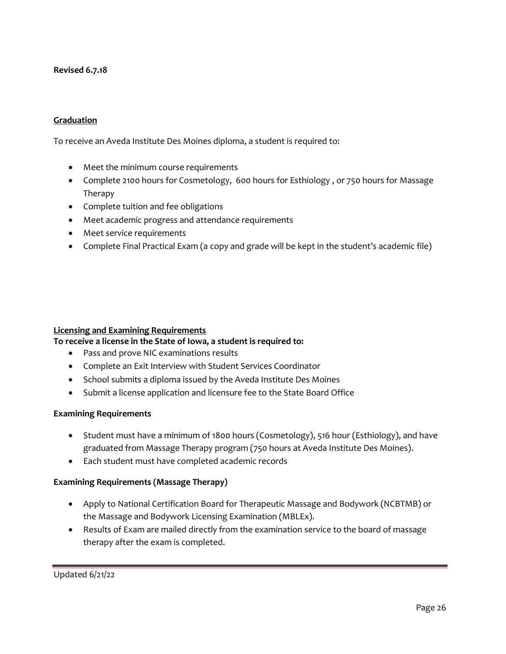## **Revised 6.7.18**

#### **Graduation**

To receive an Aveda Institute Des Moines diploma, a student is required to:

- Meet the minimum course requirements
- Complete 2100 hours for Cosmetology, 600 hours for Esthiology, or 750 hours for Massage Therapy
- Complete tuition and fee obligations
- Meet academic progress and attendance requirements
- Meet service requirements
- Complete Final Practical Exam (a copy and grade will be kept in the student's academic file)

#### **Licensing and Examining Requirements**

#### **To receive a license in the State of Iowa, a student is required to:**

- Pass and prove NIC examinations results
- Complete an Exit Interview with Student Services Coordinator
- School submits a diploma issued by the Aveda Institute Des Moines
- Submit a license application and licensure fee to the State Board Office

#### **Examining Requirements**

- Student must have a minimum of 1800 hours (Cosmetology), 516 hour (Esthiology), and have graduated from Massage Therapy program (750 hours at Aveda Institute Des Moines).
- Each student must have completed academic records

#### **Examining Requirements (Massage Therapy)**

- Apply to National Certification Board for Therapeutic Massage and Bodywork (NCBTMB) or the Massage and Bodywork Licensing Examination (MBLEx).
- Results of Exam are mailed directly from the examination service to the board of massage therapy after the exam is completed.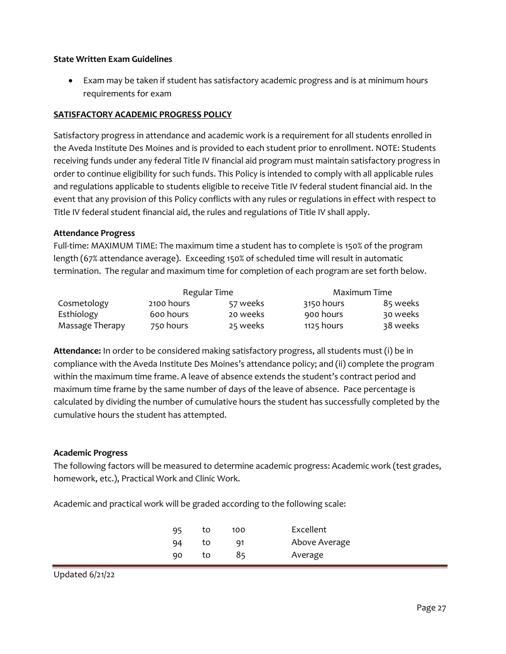#### **State Written Exam Guidelines**

• Exam may be taken if student has satisfactory academic progress and is at minimum hours requirements for exam

#### **SATISFACTORY ACADEMIC PROGRESS POLICY**

Satisfactory progress in attendance and academic work is a requirement for all students enrolled in the Aveda Institute Des Moines and is provided to each student prior to enrollment. NOTE: Students receiving funds under any federal Title IV financial aid program must maintain satisfactory progress in order to continue eligibility for such funds. This Policy is intended to comply with all applicable rules and regulations applicable to students eligible to receive Title IV federal student financial aid. In the event that any provision of this Policy conflicts with any rules or regulations in effect with respect to Title IV federal student financial aid, the rules and regulations of Title IV shall apply.

#### **Attendance Progress**

Full-time: MAXIMUM TIME: The maximum time a student has to complete is 150% of the program length (67% attendance average). Exceeding 150% of scheduled time will result in automatic termination. The regular and maximum time for completion of each program are set forth below.

|                 | Regular Time |          | Maximum Time |          |
|-----------------|--------------|----------|--------------|----------|
| Cosmetology     | 2100 hours   | 57 weeks | 3150 hours   | 85 weeks |
| Esthiology      | 600 hours    | 20 weeks | 900 hours    | 30 weeks |
| Massage Therapy | 750 hours    | 25 weeks | 1125 hours   | 38 weeks |

**Attendance:** In order to be considered making satisfactory progress, all students must (i) be in compliance with the Aveda Institute Des Moines's attendance policy; and (ii) complete the program within the maximum time frame. A leave of absence extends the student's contract period and maximum time frame by the same number of days of the leave of absence. Pace percentage is calculated by dividing the number of cumulative hours the student has successfully completed by the cumulative hours the student has attempted.

#### **Academic Progress**

The following factors will be measured to determine academic progress: Academic work (test grades, homework, etc.), Practical Work and Clinic Work.

Academic and practical work will be graded according to the following scale:

| 95 | to | 100 | Excellent     |
|----|----|-----|---------------|
| 94 | to | 91  | Above Average |
| 90 | to | 85  | Average       |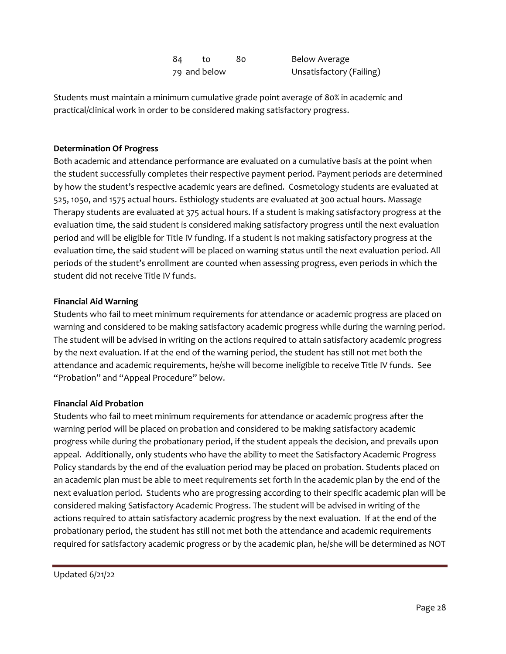| 84 | tΩ.          | 80. | Below Average            |
|----|--------------|-----|--------------------------|
|    | 79 and below |     | Unsatisfactory (Failing) |

Students must maintain a minimum cumulative grade point average of 80% in academic and practical/clinical work in order to be considered making satisfactory progress.

## **Determination Of Progress**

Both academic and attendance performance are evaluated on a cumulative basis at the point when the student successfully completes their respective payment period. Payment periods are determined by how the student's respective academic years are defined. Cosmetology students are evaluated at 525, 1050, and 1575 actual hours. Esthiology students are evaluated at 300 actual hours. Massage Therapy students are evaluated at 375 actual hours. If a student is making satisfactory progress at the evaluation time, the said student is considered making satisfactory progress until the next evaluation period and will be eligible for Title IV funding. If a student is not making satisfactory progress at the evaluation time, the said student will be placed on warning status until the next evaluation period. All periods of the student's enrollment are counted when assessing progress, even periods in which the student did not receive Title IV funds.

### **Financial Aid Warning**

Students who fail to meet minimum requirements for attendance or academic progress are placed on warning and considered to be making satisfactory academic progress while during the warning period. The student will be advised in writing on the actions required to attain satisfactory academic progress by the next evaluation. If at the end of the warning period, the student has still not met both the attendance and academic requirements, he/she will become ineligible to receive Title IV funds. See "Probation" and "Appeal Procedure" below.

#### **Financial Aid Probation**

Students who fail to meet minimum requirements for attendance or academic progress after the warning period will be placed on probation and considered to be making satisfactory academic progress while during the probationary period, if the student appeals the decision, and prevails upon appeal. Additionally, only students who have the ability to meet the Satisfactory Academic Progress Policy standards by the end of the evaluation period may be placed on probation. Students placed on an academic plan must be able to meet requirements set forth in the academic plan by the end of the next evaluation period. Students who are progressing according to their specific academic plan will be considered making Satisfactory Academic Progress. The student will be advised in writing of the actions required to attain satisfactory academic progress by the next evaluation. If at the end of the probationary period, the student has still not met both the attendance and academic requirements required for satisfactory academic progress or by the academic plan, he/she will be determined as NOT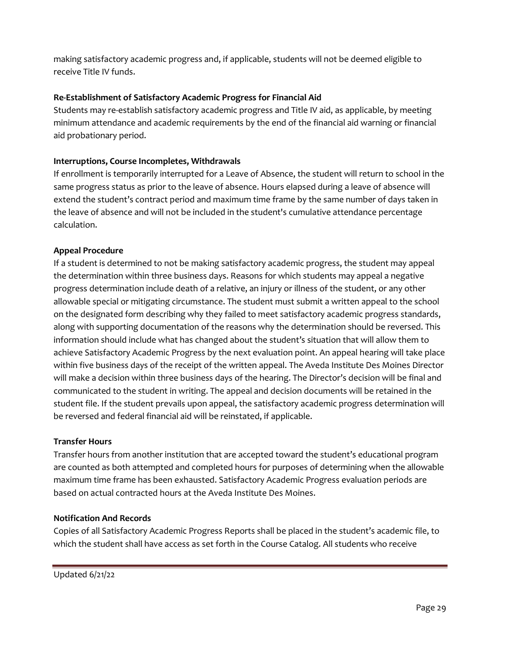making satisfactory academic progress and, if applicable, students will not be deemed eligible to receive Title IV funds.

# **Re-Establishment of Satisfactory Academic Progress for Financial Aid**

Students may re-establish satisfactory academic progress and Title IV aid, as applicable, by meeting minimum attendance and academic requirements by the end of the financial aid warning or financial aid probationary period.

## **Interruptions, Course Incompletes, Withdrawals**

If enrollment is temporarily interrupted for a Leave of Absence, the student will return to school in the same progress status as prior to the leave of absence. Hours elapsed during a leave of absence will extend the student's contract period and maximum time frame by the same number of days taken in the leave of absence and will not be included in the student's cumulative attendance percentage calculation.

### **Appeal Procedure**

If a student is determined to not be making satisfactory academic progress, the student may appeal the determination within three business days. Reasons for which students may appeal a negative progress determination include death of a relative, an injury or illness of the student, or any other allowable special or mitigating circumstance. The student must submit a written appeal to the school on the designated form describing why they failed to meet satisfactory academic progress standards, along with supporting documentation of the reasons why the determination should be reversed. This information should include what has changed about the student's situation that will allow them to achieve Satisfactory Academic Progress by the next evaluation point. An appeal hearing will take place within five business days of the receipt of the written appeal. The Aveda Institute Des Moines Director will make a decision within three business days of the hearing. The Director's decision will be final and communicated to the student in writing. The appeal and decision documents will be retained in the student file. If the student prevails upon appeal, the satisfactory academic progress determination will be reversed and federal financial aid will be reinstated, if applicable.

#### **Transfer Hours**

Transfer hours from another institution that are accepted toward the student's educational program are counted as both attempted and completed hours for purposes of determining when the allowable maximum time frame has been exhausted. Satisfactory Academic Progress evaluation periods are based on actual contracted hours at the Aveda Institute Des Moines.

#### **Notification And Records**

Copies of all Satisfactory Academic Progress Reports shall be placed in the student's academic file, to which the student shall have access as set forth in the Course Catalog. All students who receive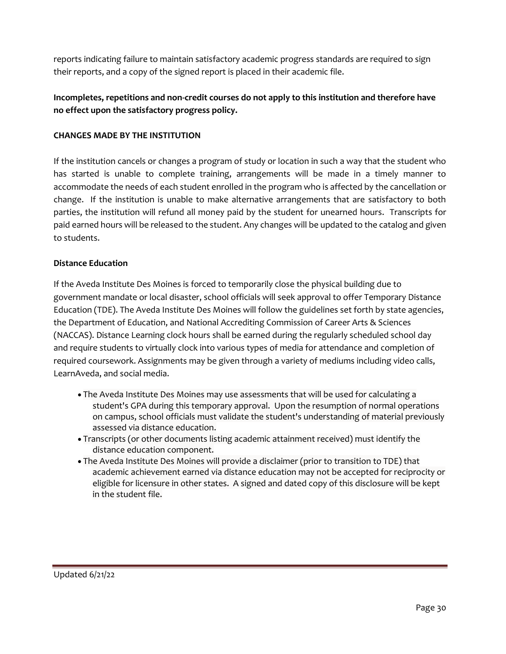reports indicating failure to maintain satisfactory academic progress standards are required to sign their reports, and a copy of the signed report is placed in their academic file.

# **Incompletes, repetitions and non-credit courses do not apply to this institution and therefore have no effect upon the satisfactory progress policy.**

## **CHANGES MADE BY THE INSTITUTION**

If the institution cancels or changes a program of study or location in such a way that the student who has started is unable to complete training, arrangements will be made in a timely manner to accommodate the needs of each student enrolled in the program who is affected by the cancellation or change. If the institution is unable to make alternative arrangements that are satisfactory to both parties, the institution will refund all money paid by the student for unearned hours. Transcripts for paid earned hours will be released to the student. Any changes will be updated to the catalog and given to students.

### **Distance Education**

If the Aveda Institute Des Moines is forced to temporarily close the physical building due to government mandate or local disaster, school officials will seek approval to offer Temporary Distance Education (TDE). The Aveda Institute Des Moines will follow the guidelines set forth by state agencies, the Department of Education, and National Accrediting Commission of Career Arts & Sciences (NACCAS). Distance Learning clock hours shall be earned during the regularly scheduled school day and require students to virtually clock into various types of media for attendance and completion of required coursework. Assignments may be given through a variety of mediums including video calls, LearnAveda, and social media.

- The Aveda Institute Des Moines may use assessments that will be used for calculating a student's GPA during this temporary approval. Upon the resumption of normal operations on campus, school officials must validate the student's understanding of material previously assessed via distance education.
- Transcripts (or other documents listing academic attainment received) must identify the distance education component.
- The Aveda Institute Des Moines will provide a disclaimer (prior to transition to TDE) that academic achievement earned via distance education may not be accepted for reciprocity or eligible for licensure in other states. A signed and dated copy of this disclosure will be kept in the student file.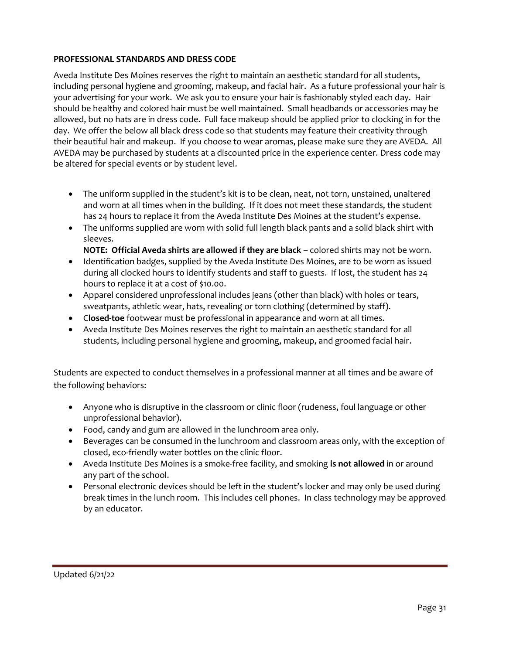## **PROFESSIONAL STANDARDS AND DRESS CODE**

Aveda Institute Des Moines reserves the right to maintain an aesthetic standard for all students, including personal hygiene and grooming, makeup, and facial hair. As a future professional your hair is your advertising for your work. We ask you to ensure your hair is fashionably styled each day. Hair should be healthy and colored hair must be well maintained. Small headbands or accessories may be allowed, but no hats are in dress code. Full face makeup should be applied prior to clocking in for the day. We offer the below all black dress code so that students may feature their creativity through their beautiful hair and makeup. If you choose to wear aromas, please make sure they are AVEDA. All AVEDA may be purchased by students at a discounted price in the experience center. Dress code may be altered for special events or by student level.

- The uniform supplied in the student's kit is to be clean, neat, not torn, unstained, unaltered and worn at all times when in the building. If it does not meet these standards, the student has 24 hours to replace it from the Aveda Institute Des Moines at the student's expense.
- The uniforms supplied are worn with solid full length black pants and a solid black shirt with sleeves.
	- **NOTE: Official Aveda shirts are allowed if they are black** colored shirts may not be worn.
- Identification badges, supplied by the Aveda Institute Des Moines, are to be worn as issued during all clocked hours to identify students and staff to guests. If lost, the student has 24 hours to replace it at a cost of \$10.00.
- Apparel considered unprofessional includes jeans (other than black) with holes or tears, sweatpants, athletic wear, hats, revealing or torn clothing (determined by staff).
- C**losed-toe** footwear must be professional in appearance and worn at all times.
- Aveda Institute Des Moines reserves the right to maintain an aesthetic standard for all students, including personal hygiene and grooming, makeup, and groomed facial hair.

Students are expected to conduct themselves in a professional manner at all times and be aware of the following behaviors:

- Anyone who is disruptive in the classroom or clinic floor (rudeness, foul language or other unprofessional behavior).
- Food, candy and gum are allowed in the lunchroom area only.
- Beverages can be consumed in the lunchroom and classroom areas only, with the exception of closed, eco-friendly water bottles on the clinic floor.
- Aveda Institute Des Moines is a smoke-free facility, and smoking **is not allowed** in or around any part of the school.
- Personal electronic devices should be left in the student's locker and may only be used during break times in the lunch room. This includes cell phones. In class technology may be approved by an educator.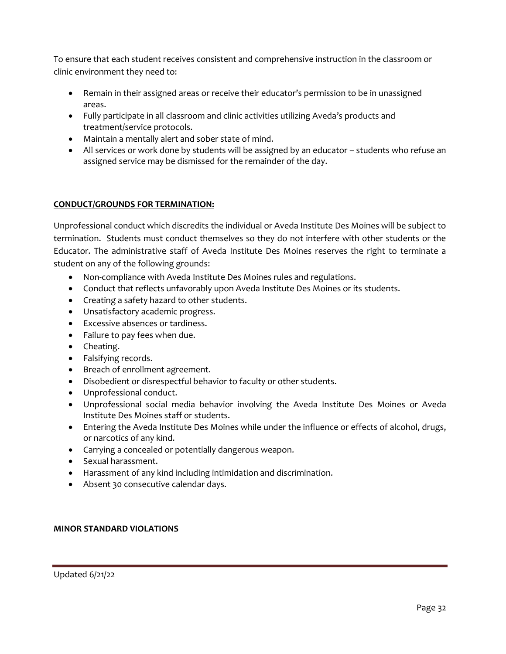To ensure that each student receives consistent and comprehensive instruction in the classroom or clinic environment they need to:

- Remain in their assigned areas or receive their educator's permission to be in unassigned areas.
- Fully participate in all classroom and clinic activities utilizing Aveda's products and treatment/service protocols.
- Maintain a mentally alert and sober state of mind.
- All services or work done by students will be assigned by an educator students who refuse an assigned service may be dismissed for the remainder of the day.

## **CONDUCT/GROUNDS FOR TERMINATION:**

Unprofessional conduct which discredits the individual or Aveda Institute Des Moines will be subject to termination. Students must conduct themselves so they do not interfere with other students or the Educator. The administrative staff of Aveda Institute Des Moines reserves the right to terminate a student on any of the following grounds:

- Non-compliance with Aveda Institute Des Moines rules and regulations.
- Conduct that reflects unfavorably upon Aveda Institute Des Moines or its students.
- Creating a safety hazard to other students.
- Unsatisfactory academic progress.
- Excessive absences or tardiness.
- Failure to pay fees when due.
- Cheating.
- Falsifying records.
- Breach of enrollment agreement.
- Disobedient or disrespectful behavior to faculty or other students.
- Unprofessional conduct.
- Unprofessional social media behavior involving the Aveda Institute Des Moines or Aveda Institute Des Moines staff or students.
- Entering the Aveda Institute Des Moines while under the influence or effects of alcohol, drugs, or narcotics of any kind.
- Carrying a concealed or potentially dangerous weapon.
- Sexual harassment.
- Harassment of any kind including intimidation and discrimination.
- Absent 30 consecutive calendar days.

## **MINOR STANDARD VIOLATIONS**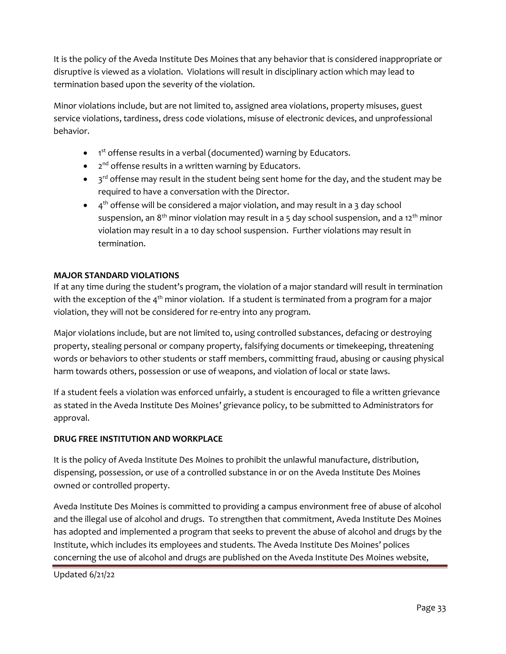It is the policy of the Aveda Institute Des Moines that any behavior that is considered inappropriate or disruptive is viewed as a violation. Violations will result in disciplinary action which may lead to termination based upon the severity of the violation.

Minor violations include, but are not limited to, assigned area violations, property misuses, guest service violations, tardiness, dress code violations, misuse of electronic devices, and unprofessional behavior.

- 1<sup>st</sup> offense results in a verbal (documented) warning by Educators.
- 2<sup>nd</sup> offense results in a written warning by Educators.
- $\bullet$   $\,$   $\,$  3<sup>rd</sup> offense may result in the student being sent home for the day, and the student may be required to have a conversation with the Director.
- $\bullet$  4<sup>th</sup> offense will be considered a major violation, and may result in a 3 day school suspension, an  $8<sup>th</sup>$  minor violation may result in a 5 day school suspension, and a 12<sup>th</sup> minor violation may result in a 10 day school suspension. Further violations may result in termination.

## **MAJOR STANDARD VIOLATIONS**

If at any time during the student's program, the violation of a major standard will result in termination with the exception of the  $4<sup>th</sup>$  minor violation. If a student is terminated from a program for a major violation, they will not be considered for re-entry into any program.

Major violations include, but are not limited to, using controlled substances, defacing or destroying property, stealing personal or company property, falsifying documents or timekeeping, threatening words or behaviors to other students or staff members, committing fraud, abusing or causing physical harm towards others, possession or use of weapons, and violation of local or state laws.

If a student feels a violation was enforced unfairly, a student is encouraged to file a written grievance as stated in the Aveda Institute Des Moines' grievance policy, to be submitted to Administrators for approval.

## **DRUG FREE INSTITUTION AND WORKPLACE**

It is the policy of Aveda Institute Des Moines to prohibit the unlawful manufacture, distribution, dispensing, possession, or use of a controlled substance in or on the Aveda Institute Des Moines owned or controlled property.

Aveda Institute Des Moines is committed to providing a campus environment free of abuse of alcohol and the illegal use of alcohol and drugs. To strengthen that commitment, Aveda Institute Des Moines has adopted and implemented a program that seeks to prevent the abuse of alcohol and drugs by the Institute, which includes its employees and students. The Aveda Institute Des Moines' polices concerning the use of alcohol and drugs are published on the Aveda Institute Des Moines website,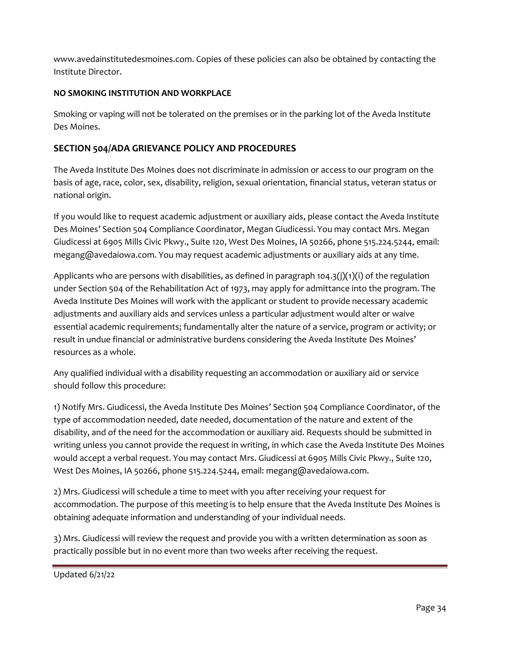www.avedainstitutedesmoines.com. Copies of these policies can also be obtained by contacting the Institute Director.

# **NO SMOKING INSTITUTION AND WORKPLACE**

Smoking or vaping will not be tolerated on the premises or in the parking lot of the Aveda Institute Des Moines.

# **SECTION 504/ADA GRIEVANCE POLICY AND PROCEDURES**

The Aveda Institute Des Moines does not discriminate in admission or access to our program on the basis of age, race, color, sex, disability, religion, sexual orientation, financial status, veteran status or national origin.

If you would like to request academic adjustment or auxiliary aids, please contact the Aveda Institute Des Moines' Section 504 Compliance Coordinator, Megan Giudicessi. You may contact Mrs. Megan Giudicessi at 6905 Mills Civic Pkwy., Suite 120, West Des Moines, IA 50266, phone 515.224.5244, email: megang@avedaiowa.com. You may request academic adjustments or auxiliary aids at any time.

Applicants who are persons with disabilities, as defined in paragraph 104.3(j)(1)(i) of the regulation under Section 504 of the Rehabilitation Act of 1973, may apply for admittance into the program. The Aveda Institute Des Moines will work with the applicant or student to provide necessary academic adjustments and auxiliary aids and services unless a particular adjustment would alter or waive essential academic requirements; fundamentally alter the nature of a service, program or activity; or result in undue financial or administrative burdens considering the Aveda Institute Des Moines' resources as a whole.

Any qualified individual with a disability requesting an accommodation or auxiliary aid or service should follow this procedure:

1) Notify Mrs. Giudicessi, the Aveda Institute Des Moines' Section 504 Compliance Coordinator, of the type of accommodation needed, date needed, documentation of the nature and extent of the disability, and of the need for the accommodation or auxiliary aid. Requests should be submitted in writing unless you cannot provide the request in writing, in which case the Aveda Institute Des Moines would accept a verbal request. You may contact Mrs. Giudicessi at 6905 Mills Civic Pkwy., Suite 120, West Des Moines, IA 50266, phone 515.224.5244, email: megang@avedaiowa.com.

2) Mrs. Giudicessi will schedule a time to meet with you after receiving your request for accommodation. The purpose of this meeting is to help ensure that the Aveda Institute Des Moines is obtaining adequate information and understanding of your individual needs.

3) Mrs. Giudicessi will review the request and provide you with a written determination as soon as practically possible but in no event more than two weeks after receiving the request.

```
Updated 6/21/22
```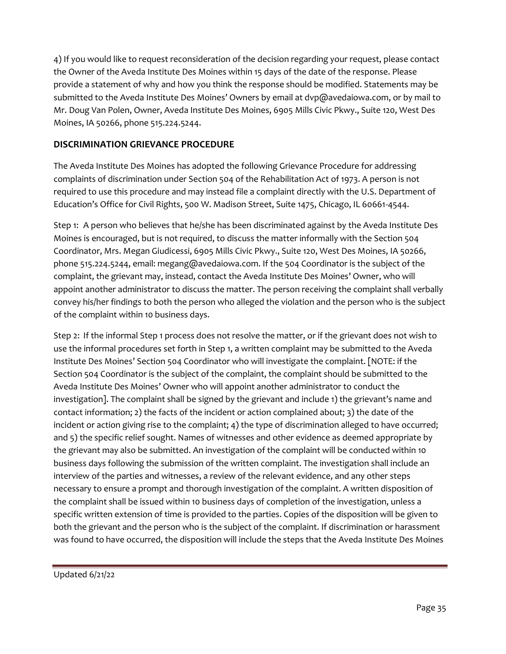4) If you would like to request reconsideration of the decision regarding your request, please contact the Owner of the Aveda Institute Des Moines within 15 days of the date of the response. Please provide a statement of why and how you think the response should be modified. Statements may be submitted to the Aveda Institute Des Moines' Owners by email at dvp@avedaiowa.com, or by mail to Mr. Doug Van Polen, Owner, Aveda Institute Des Moines, 6905 Mills Civic Pkwy., Suite 120, West Des Moines, IA 50266, phone 515.224.5244.

# **DISCRIMINATION GRIEVANCE PROCEDURE**

The Aveda Institute Des Moines has adopted the following Grievance Procedure for addressing complaints of discrimination under Section 504 of the Rehabilitation Act of 1973. A person is not required to use this procedure and may instead file a complaint directly with the U.S. Department of Education's Office for Civil Rights, 500 W. Madison Street, Suite 1475, Chicago, IL 60661-4544.

Step 1: A person who believes that he/she has been discriminated against by the Aveda Institute Des Moines is encouraged, but is not required, to discuss the matter informally with the Section 504 Coordinator, Mrs. Megan Giudicessi, 6905 Mills Civic Pkwy., Suite 120, West Des Moines, IA 50266, phone 515.224.5244, email: megang@avedaiowa.com. If the 504 Coordinator is the subject of the complaint, the grievant may, instead, contact the Aveda Institute Des Moines' Owner, who will appoint another administrator to discuss the matter. The person receiving the complaint shall verbally convey his/her findings to both the person who alleged the violation and the person who is the subject of the complaint within 10 business days.

Step 2: If the informal Step 1 process does not resolve the matter, or if the grievant does not wish to use the informal procedures set forth in Step 1, a written complaint may be submitted to the Aveda Institute Des Moines' Section 504 Coordinator who will investigate the complaint. [NOTE: if the Section 504 Coordinator is the subject of the complaint, the complaint should be submitted to the Aveda Institute Des Moines' Owner who will appoint another administrator to conduct the investigation]. The complaint shall be signed by the grievant and include 1) the grievant's name and contact information; 2) the facts of the incident or action complained about; 3) the date of the incident or action giving rise to the complaint; 4) the type of discrimination alleged to have occurred; and 5) the specific relief sought. Names of witnesses and other evidence as deemed appropriate by the grievant may also be submitted. An investigation of the complaint will be conducted within 10 business days following the submission of the written complaint. The investigation shall include an interview of the parties and witnesses, a review of the relevant evidence, and any other steps necessary to ensure a prompt and thorough investigation of the complaint. A written disposition of the complaint shall be issued within 10 business days of completion of the investigation, unless a specific written extension of time is provided to the parties. Copies of the disposition will be given to both the grievant and the person who is the subject of the complaint. If discrimination or harassment was found to have occurred, the disposition will include the steps that the Aveda Institute Des Moines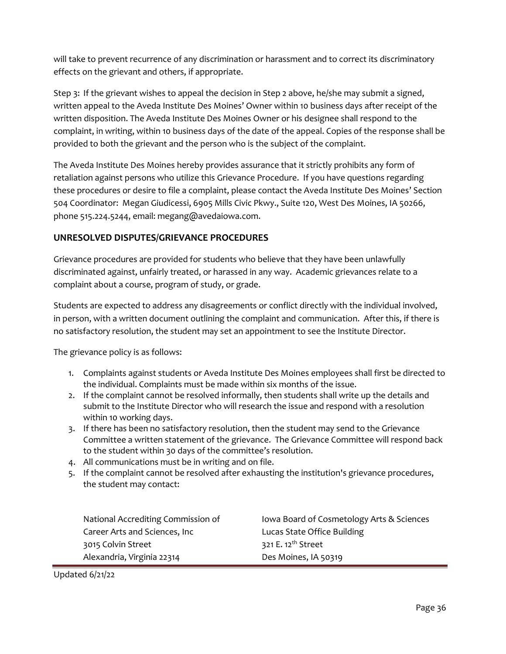will take to prevent recurrence of any discrimination or harassment and to correct its discriminatory effects on the grievant and others, if appropriate.

Step 3: If the grievant wishes to appeal the decision in Step 2 above, he/she may submit a signed, written appeal to the Aveda Institute Des Moines' Owner within 10 business days after receipt of the written disposition. The Aveda Institute Des Moines Owner or his designee shall respond to the complaint, in writing, within 10 business days of the date of the appeal. Copies of the response shall be provided to both the grievant and the person who is the subject of the complaint.

The Aveda Institute Des Moines hereby provides assurance that it strictly prohibits any form of retaliation against persons who utilize this Grievance Procedure. If you have questions regarding these procedures or desire to file a complaint, please contact the Aveda Institute Des Moines' Section 504 Coordinator: Megan Giudicessi, 6905 Mills Civic Pkwy., Suite 120, West Des Moines, IA 50266, phone 515.224.5244, email: megang@avedaiowa.com.

## **UNRESOLVED DISPUTES/GRIEVANCE PROCEDURES**

Grievance procedures are provided for students who believe that they have been unlawfully discriminated against, unfairly treated, or harassed in any way. Academic grievances relate to a complaint about a course, program of study, or grade.

Students are expected to address any disagreements or conflict directly with the individual involved, in person, with a written document outlining the complaint and communication. After this, if there is no satisfactory resolution, the student may set an appointment to see the Institute Director.

The grievance policy is as follows:

- 1. Complaints against students or Aveda Institute Des Moines employees shall first be directed to the individual. Complaints must be made within six months of the issue.
- 2. If the complaint cannot be resolved informally, then students shall write up the details and submit to the Institute Director who will research the issue and respond with a resolution within 10 working days.
- 3. If there has been no satisfactory resolution, then the student may send to the Grievance Committee a written statement of the grievance. The Grievance Committee will respond back to the student within 30 days of the committee's resolution.
- 4. All communications must be in writing and on file.
- 5. If the complaint cannot be resolved after exhausting the institution's grievance procedures, the student may contact:

| National Accrediting Commission of | lowa Board of Cosmetology Arts & Sciences |
|------------------------------------|-------------------------------------------|
| Career Arts and Sciences, Inc      | Lucas State Office Building               |
| 3015 Colvin Street                 | 321 E. 12 <sup>th</sup> Street            |
| Alexandria, Virginia 22314         | Des Moines, IA 50319                      |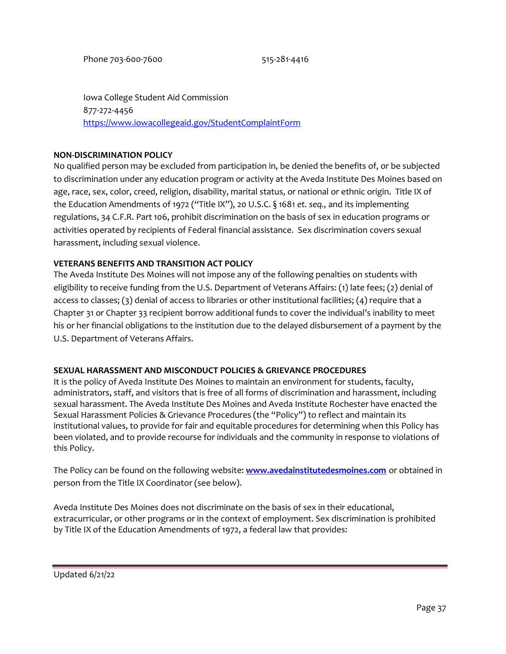Iowa College Student Aid Commission 877-272-4456 <https://www.iowacollegeaid.gov/StudentComplaintForm>

#### **NON-DISCRIMINATION POLICY**

No qualified person may be excluded from participation in, be denied the benefits of, or be subjected to discrimination under any education program or activity at the Aveda Institute Des Moines based on age, race, sex, color, creed, religion, disability, marital status, or national or ethnic origin. Title IX of the Education Amendments of 1972 ("Title IX"), 20 U.S.C. § 1681 *et. seq.,* and its implementing regulations, 34 C.F.R. Part 106, prohibit discrimination on the basis of sex in education programs or activities operated by recipients of Federal financial assistance. Sex discrimination covers sexual harassment, including sexual violence.

## **VETERANS BENEFITS AND TRANSITION ACT POLICY**

The Aveda Institute Des Moines will not impose any of the following penalties on students with eligibility to receive funding from the U.S. Department of Veterans Affairs: (1) late fees; (2) denial of access to classes; (3) denial of access to libraries or other institutional facilities; (4) require that a Chapter 31 or Chapter 33 recipient borrow additional funds to cover the individual's inability to meet his or her financial obligations to the institution due to the delayed disbursement of a payment by the U.S. Department of Veterans Affairs.

#### **SEXUAL HARASSMENT AND MISCONDUCT POLICIES & GRIEVANCE PROCEDURES**

It is the policy of Aveda Institute Des Moines to maintain an environment for students, faculty, administrators, staff, and visitors that is free of all forms of discrimination and harassment, including sexual harassment. The Aveda Institute Des Moines and Aveda Institute Rochester have enacted the Sexual Harassment Policies & Grievance Procedures (the "Policy") to reflect and maintain its institutional values, to provide for fair and equitable procedures for determining when this Policy has been violated, and to provide recourse for individuals and the community in response to violations of this Policy.

The Policy can be found on the following website: **[www.avedainstitutedesmoines.com](https://www.avedainstitutedesmoines.com/)** or obtained in person from the Title IX Coordinator (see below).

Aveda Institute Des Moines does not discriminate on the basis of sex in their educational, extracurricular, or other programs or in the context of employment. Sex discrimination is prohibited by Title IX of the Education Amendments of 1972, a federal law that provides: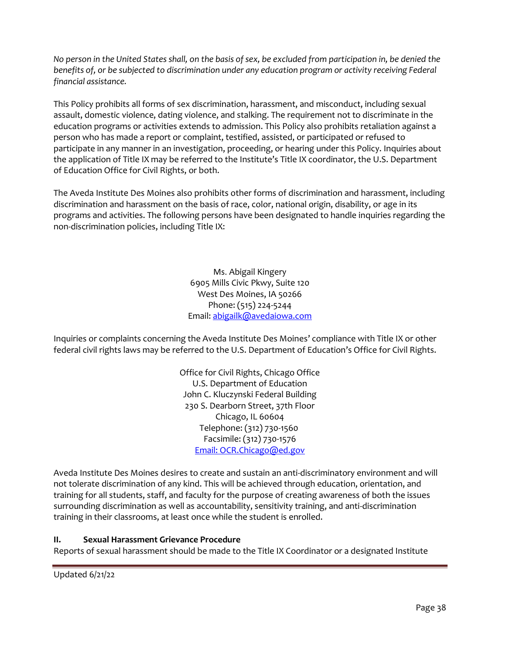*No person in the United States shall, on the basis of sex, be excluded from participation in, be denied the benefits of, or be subjected to discrimination under any education program or activity receiving Federal financial assistance.*

This Policy prohibits all forms of sex discrimination, harassment, and misconduct, including sexual assault, domestic violence, dating violence, and stalking. The requirement not to discriminate in the education programs or activities extends to admission. This Policy also prohibits retaliation against a person who has made a report or complaint, testified, assisted, or participated or refused to participate in any manner in an investigation, proceeding, or hearing under this Policy. Inquiries about the application of Title IX may be referred to the Institute's Title IX coordinator, the U.S. Department of Education Office for Civil Rights, or both.

The Aveda Institute Des Moines also prohibits other forms of discrimination and harassment, including discrimination and harassment on the basis of race, color, national origin, disability, or age in its programs and activities. The following persons have been designated to handle inquiries regarding the non-discrimination policies, including Title IX:

> Ms. Abigail Kingery 6905 Mills Civic Pkwy, Suite 120 West Des Moines, IA 50266 Phone: (515) 224-5244 Email[: abigailk@avedaiowa.com](mailto:abigailk@avedaiowa.com)

Inquiries or complaints concerning the Aveda Institute Des Moines' compliance with Title IX or other federal civil rights laws may be referred to the U.S. Department of Education's Office for Civil Rights.

> Office for Civil Rights, Chicago Office U.S. Department of Education John C. Kluczynski Federal Building 230 S. Dearborn Street, 37th Floor Chicago, IL 60604 Telephone: (312) 730-1560 Facsimile: (312) 730-1576 [Email: OCR.Chicago@ed.gov](mailto:OCR.Chicago@ed.gov)

Aveda Institute Des Moines desires to create and sustain an anti-discriminatory environment and will not tolerate discrimination of any kind. This will be achieved through education, orientation, and training for all students, staff, and faculty for the purpose of creating awareness of both the issues surrounding discrimination as well as accountability, sensitivity training, and anti-discrimination training in their classrooms, at least once while the student is enrolled.

## **II. Sexual Harassment Grievance Procedure**

Reports of sexual harassment should be made to the Title IX Coordinator or a designated Institute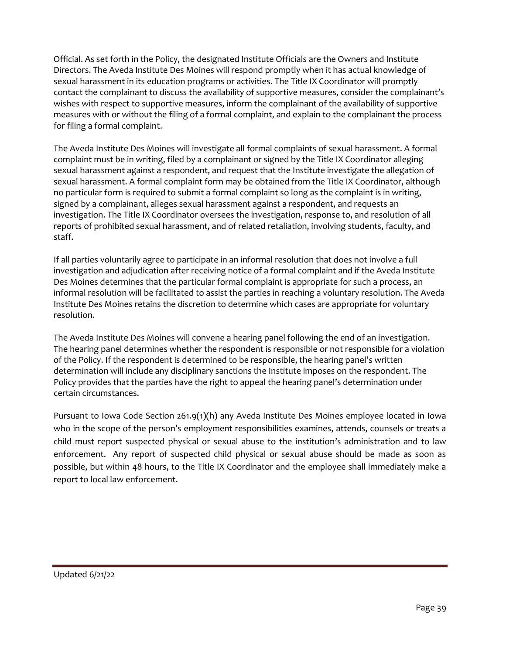Official. As set forth in the Policy, the designated Institute Officials are the Owners and Institute Directors. The Aveda Institute Des Moines will respond promptly when it has actual knowledge of sexual harassment in its education programs or activities. The Title IX Coordinator will promptly contact the complainant to discuss the availability of supportive measures, consider the complainant's wishes with respect to supportive measures, inform the complainant of the availability of supportive measures with or without the filing of a formal complaint, and explain to the complainant the process for filing a formal complaint.

The Aveda Institute Des Moines will investigate all formal complaints of sexual harassment. A formal complaint must be in writing, filed by a complainant or signed by the Title IX Coordinator alleging sexual harassment against a respondent, and request that the Institute investigate the allegation of sexual harassment. A formal complaint form may be obtained from the Title IX Coordinator, although no particular form is required to submit a formal complaint so long as the complaint is in writing, signed by a complainant, alleges sexual harassment against a respondent, and requests an investigation. The Title IX Coordinator oversees the investigation, response to, and resolution of all reports of prohibited sexual harassment, and of related retaliation, involving students, faculty, and staff.

If all parties voluntarily agree to participate in an informal resolution that does not involve a full investigation and adjudication after receiving notice of a formal complaint and if the Aveda Institute Des Moines determines that the particular formal complaint is appropriate for such a process, an informal resolution will be facilitated to assist the parties in reaching a voluntary resolution. The Aveda Institute Des Moines retains the discretion to determine which cases are appropriate for voluntary resolution.

The Aveda Institute Des Moines will convene a hearing panel following the end of an investigation. The hearing panel determines whether the respondent is responsible or not responsible for a violation of the Policy. If the respondent is determined to be responsible, the hearing panel's written determination will include any disciplinary sanctions the Institute imposes on the respondent. The Policy provides that the parties have the right to appeal the hearing panel's determination under certain circumstances.

Pursuant to Iowa Code Section 261.9(1)(h) any Aveda Institute Des Moines employee located in Iowa who in the scope of the person's employment responsibilities examines, attends, counsels or treats a child must report suspected physical or sexual abuse to the institution's administration and to law enforcement. Any report of suspected child physical or sexual abuse should be made as soon as possible, but within 48 hours, to the Title IX Coordinator and the employee shall immediately make a report to local law enforcement.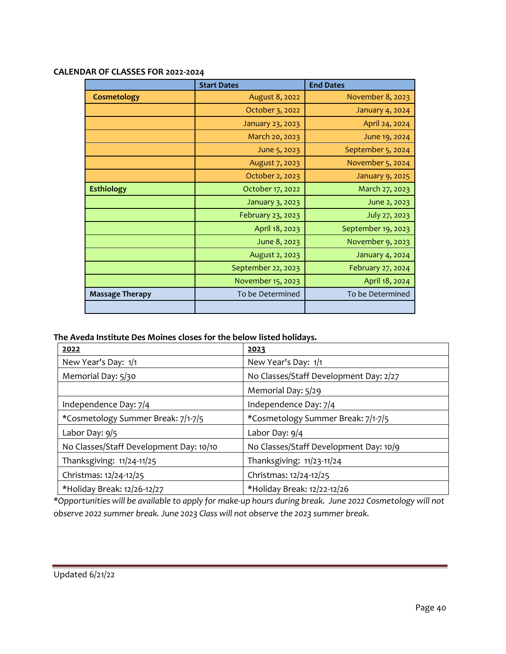|                        | <b>Start Dates</b> | <b>End Dates</b>       |
|------------------------|--------------------|------------------------|
| Cosmetology            | August 8, 2022     | November 8, 2023       |
|                        | October 3, 2022    | <b>January 4, 2024</b> |
|                        | January 23, 2023   | April 24, 2024         |
|                        | March 20, 2023     | June 19, 2024          |
|                        | June 5, 2023       | September 5, 2024      |
|                        | August 7, 2023     | November 5, 2024       |
|                        | October 2, 2023    | January 9, 2025        |
| <b>Esthiology</b>      | October 17, 2022   | March 27, 2023         |
|                        | January 3, 2023    | June 2, 2023           |
|                        | February 23, 2023  | July 27, 2023          |
|                        | April 18, 2023     | September 19, 2023     |
|                        | June 8, 2023       | November 9, 2023       |
|                        | August 2, 2023     | January 4, 2024        |
|                        | September 22, 2023 | February 27, 2024      |
|                        | November 15, 2023  | April 18, 2024         |
| <b>Massage Therapy</b> | To be Determined   | To be Determined       |
|                        |                    |                        |

#### **CALENDAR OF CLASSES FOR 2022-2024**

# **The Aveda Institute Des Moines closes for the below listed holidays.**

| 2022                                    | 2023                                   |
|-----------------------------------------|----------------------------------------|
| New Year's Day: 1/1                     | New Year's Day: 1/1                    |
| Memorial Day: 5/30                      | No Classes/Staff Development Day: 2/27 |
|                                         | Memorial Day: 5/29                     |
| Independence Day: 7/4                   | Independence Day: 7/4                  |
| *Cosmetology Summer Break: 7/1-7/5      | *Cosmetology Summer Break: 7/1-7/5     |
| Labor Day: 9/5                          | Labor Day: 9/4                         |
| No Classes/Staff Development Day: 10/10 | No Classes/Staff Development Day: 10/9 |
| Thanksgiving: 11/24-11/25               | Thanksgiving: 11/23-11/24              |
| Christmas: 12/24-12/25                  | Christmas: 12/24-12/25                 |
| *Holiday Break: 12/26-12/27             | *Holiday Break: 12/22-12/26            |

*\*Opportunities will be available to apply for make-up hours during break. June 2022 Cosmetology will not observe 2022 summer break. June 2023 Class will not observe the 2023 summer break.*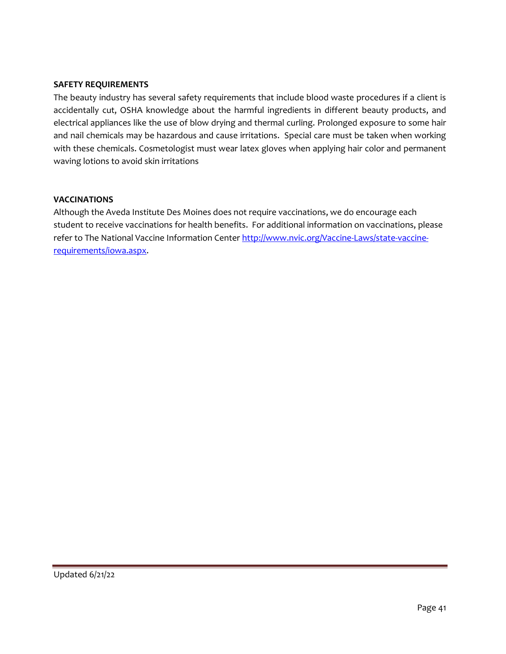## **SAFETY REQUIREMENTS**

The beauty industry has several safety requirements that include blood waste procedures if a client is accidentally cut, OSHA knowledge about the harmful ingredients in different beauty products, and electrical appliances like the use of blow drying and thermal curling. Prolonged exposure to some hair and nail chemicals may be hazardous and cause irritations. Special care must be taken when working with these chemicals. Cosmetologist must wear latex gloves when applying hair color and permanent waving lotions to avoid skin irritations

## **VACCINATIONS**

Although the Aveda Institute Des Moines does not require vaccinations, we do encourage each student to receive vaccinations for health benefits. For additional information on vaccinations, please refer to The National Vaccine Information Center [http://www.nvic.org/Vaccine-Laws/state-vaccine](http://www.nvic.org/Vaccine-Laws/state-vaccine-requirements/iowa.aspx)[requirements/iowa.aspx.](http://www.nvic.org/Vaccine-Laws/state-vaccine-requirements/iowa.aspx)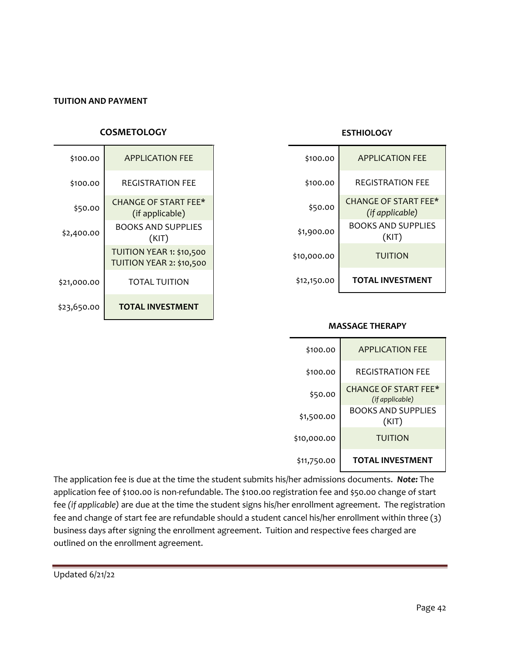#### **TUITION AND PAYMENT**

## **COSMETOLOGY**

| \$100.00    | <b>APPI ICATION FFF</b>                              |
|-------------|------------------------------------------------------|
| \$100.00    | REGISTRATION FEE                                     |
| \$50.00     | <b>CHANGE OF START FEE*</b><br>(if applicable)       |
| \$2,400.00  | <b>BOOKS AND SUPPLIES</b><br>(KIT)                   |
|             | TUITION YEAR 1: \$10,500<br>TUITION YEAR 2: \$10,500 |
| \$21,000.00 | <b>TOTAL TUITION</b>                                 |
| \$23,650.00 | <b>TOTAL INVESTMENT</b>                              |

#### **ESTHIOLOGY**

| \$100.00    | <b>APPLICATION FEE</b>                         |
|-------------|------------------------------------------------|
| \$100.00    | <b>REGISTRATION FFF</b>                        |
| \$50.00     | <b>CHANGE OF START FEE*</b><br>(if applicable) |
| \$1,900.00  | <b>BOOKS AND SUPPLIES</b><br>(KIT)             |
| \$10,000.00 | <b>TUITION</b>                                 |
| \$12,150.00 | <b>TOTAL INVESTMENT</b>                        |

#### **MASSAGE THERAPY**

| \$100.00    | <b>APPLICATION FFF</b>                         |
|-------------|------------------------------------------------|
| \$100.00    | <b>REGISTRATION FEE</b>                        |
| \$50.00     | <b>CHANGE OF START FEE*</b><br>(if applicable) |
| \$1,500.00  | <b>BOOKS AND SUPPLIES</b><br>(KIT)             |
| \$10,000.00 | <b>TUITION</b>                                 |
| \$11,750.00 | <b>TOTAL INVESTMENT</b>                        |

The application fee is due at the time the student submits his/her admissions documents. *Note:* The application fee of \$100.00 is non-refundable. The \$100.00 registration fee and \$50.00 change of start fee *(if applicable)* are due at the time the student signs his/her enrollment agreement. The registration fee and change of start fee are refundable should a student cancel his/her enrollment within three (3) business days after signing the enrollment agreement. Tuition and respective fees charged are outlined on the enrollment agreement.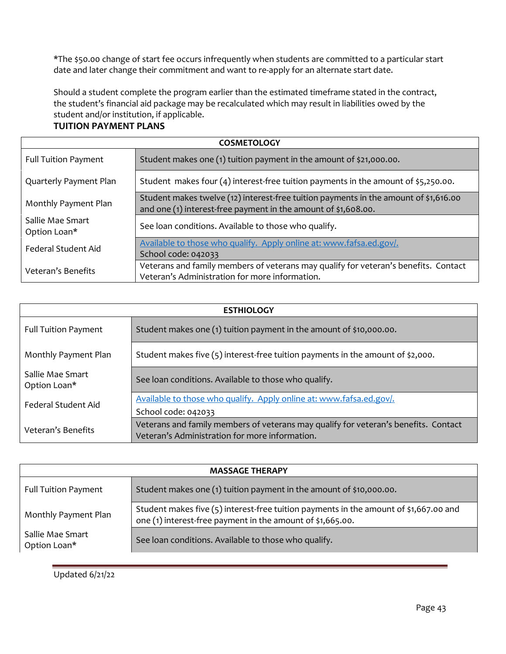\*The \$50.00 change of start fee occurs infrequently when students are committed to a particular start date and later change their commitment and want to re-apply for an alternate start date.

Should a student complete the program earlier than the estimated timeframe stated in the contract, the student's financial aid package may be recalculated which may result in liabilities owed by the student and/or institution, if applicable.

# **TUITION PAYMENT PLANS**

| <b>COSMETOLOGY</b>               |                                                                                                                                                        |
|----------------------------------|--------------------------------------------------------------------------------------------------------------------------------------------------------|
| <b>Full Tuition Payment</b>      | Student makes one (1) tuition payment in the amount of \$21,000.00.                                                                                    |
| Quarterly Payment Plan           | Student makes four $(4)$ interest-free tuition payments in the amount of \$5,250.00.                                                                   |
| Monthly Payment Plan             | Student makes twelve (12) interest-free tuition payments in the amount of \$1,616.00<br>and one (1) interest-free payment in the amount of \$1,608.00. |
| Sallie Mae Smart<br>Option Loan* | See loan conditions. Available to those who qualify.                                                                                                   |
| Federal Student Aid              | Available to those who qualify. Apply online at: www.fafsa.ed.gov/.<br>School code: 042033                                                             |
| Veteran's Benefits               | Veterans and family members of veterans may qualify for veteran's benefits. Contact<br>Veteran's Administration for more information.                  |

| <b>ESTHIOLOGY</b>                |                                                                                                                                       |
|----------------------------------|---------------------------------------------------------------------------------------------------------------------------------------|
| <b>Full Tuition Payment</b>      | Student makes one (1) tuition payment in the amount of \$10,000.00.                                                                   |
| Monthly Payment Plan             | Student makes five (5) interest-free tuition payments in the amount of \$2,000.                                                       |
| Sallie Mae Smart<br>Option Loan* | See Ioan conditions. Available to those who qualify.                                                                                  |
| <b>Federal Student Aid</b>       | Available to those who qualify. Apply online at: www.fafsa.ed.gov/.                                                                   |
|                                  | School code: 042033                                                                                                                   |
| Veteran's Benefits               | Veterans and family members of veterans may qualify for veteran's benefits. Contact<br>Veteran's Administration for more information. |

| <b>MASSAGE THERAPY</b>           |                                                                                                                                                       |
|----------------------------------|-------------------------------------------------------------------------------------------------------------------------------------------------------|
| <b>Full Tuition Payment</b>      | Student makes one (1) tuition payment in the amount of \$10,000.00.                                                                                   |
| Monthly Payment Plan             | Student makes five $(5)$ interest-free tuition payments in the amount of \$1,667.00 and<br>one (1) interest-free payment in the amount of \$1,665.00. |
| Sallie Mae Smart<br>Option Loan* | See Ioan conditions. Available to those who qualify.                                                                                                  |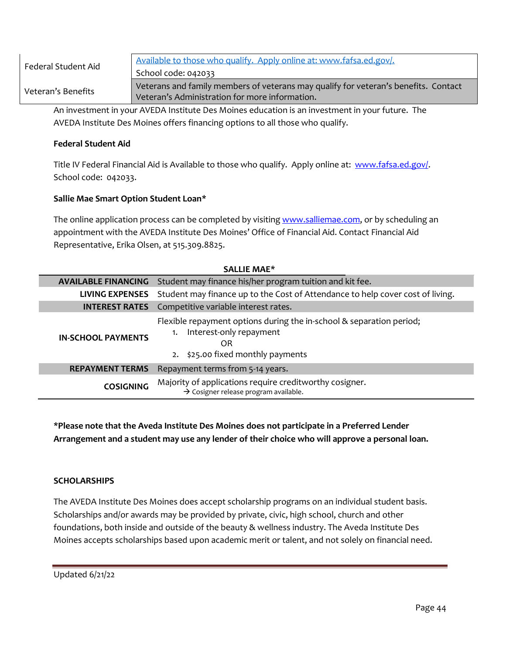| Federal Student Aid | Available to those who qualify. Apply online at: www.fafsa.ed.gov/.                                                                   |
|---------------------|---------------------------------------------------------------------------------------------------------------------------------------|
|                     | School code: 042033                                                                                                                   |
| Veteran's Benefits  | Veterans and family members of veterans may qualify for veteran's benefits. Contact<br>Veteran's Administration for more information. |

An investment in your AVEDA Institute Des Moines education is an investment in your future. The AVEDA Institute Des Moines offers financing options to all those who qualify.

## **Federal Student Aid**

Title IV Federal Financial Aid is Available to those who qualify. Apply online at: [www.fafsa.ed.gov/.](http://www.fafsa.ed.gov/) School code: 042033.

### **Sallie Mae Smart Option Student Loan\***

The online application process can be completed by visitin[g www.salliemae.com,](http://www.salliemae.com/) or by scheduling an appointment with the AVEDA Institute Des Moines' Office of Financial Aid. Contact Financial Aid Representative, Erika Olsen, at 515.309.8825.

| <b>SALLIE MAE*</b>         |                                                                                                                                                  |
|----------------------------|--------------------------------------------------------------------------------------------------------------------------------------------------|
| <b>AVAILABLE FINANCING</b> | Student may finance his/her program tuition and kit fee.                                                                                         |
| <b>LIVING EXPENSES</b>     | Student may finance up to the Cost of Attendance to help cover cost of living.                                                                   |
| <b>INTEREST RATES</b>      | Competitive variable interest rates.                                                                                                             |
| <b>IN-SCHOOL PAYMENTS</b>  | Flexible repayment options during the in-school & separation period;<br>Interest-only repayment<br>1.<br>OR<br>2. \$25.00 fixed monthly payments |
| <b>REPAYMENT TERMS</b>     | Repayment terms from 5-14 years.                                                                                                                 |
| <b>COSIGNING</b>           | Majority of applications require creditworthy cosigner.<br>$\rightarrow$ Cosigner release program available.                                     |

**\*Please note that the Aveda Institute Des Moines does not participate in a Preferred Lender Arrangement and a student may use any lender of their choice who will approve a personal loan.**

#### **SCHOLARSHIPS**

The AVEDA Institute Des Moines does accept scholarship programs on an individual student basis. Scholarships and/or awards may be provided by private, civic, high school, church and other foundations, both inside and outside of the beauty & wellness industry. The Aveda Institute Des Moines accepts scholarships based upon academic merit or talent, and not solely on financial need.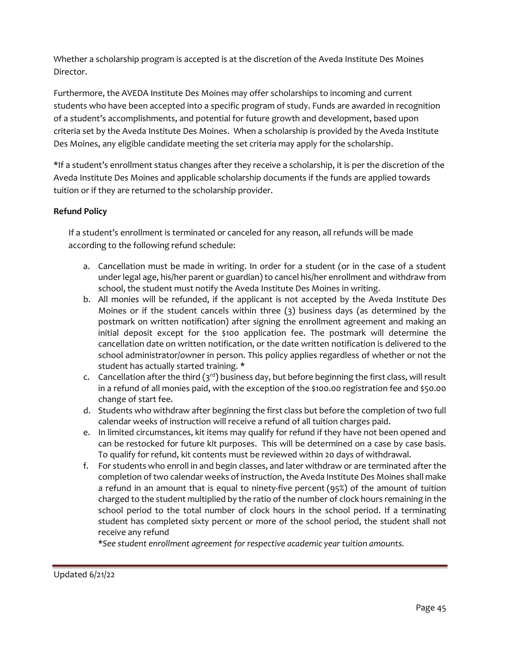Whether a scholarship program is accepted is at the discretion of the Aveda Institute Des Moines Director.

Furthermore, the AVEDA Institute Des Moines may offer scholarships to incoming and current students who have been accepted into a specific program of study. Funds are awarded in recognition of a student's accomplishments, and potential for future growth and development, based upon criteria set by the Aveda Institute Des Moines. When a scholarship is provided by the Aveda Institute Des Moines, any eligible candidate meeting the set criteria may apply for the scholarship.

\*If a student's enrollment status changes after they receive a scholarship, it is per the discretion of the Aveda Institute Des Moines and applicable scholarship documents if the funds are applied towards tuition or if they are returned to the scholarship provider.

# **Refund Policy**

If a student's enrollment is terminated or canceled for any reason, all refunds will be made according to the following refund schedule:

- a. Cancellation must be made in writing. In order for a student (or in the case of a student under legal age, his/her parent or guardian) to cancel his/her enrollment and withdraw from school, the student must notify the Aveda Institute Des Moines in writing.
- b. All monies will be refunded, if the applicant is not accepted by the Aveda Institute Des Moines or if the student cancels within three (3) business days (as determined by the postmark on written notification) after signing the enrollment agreement and making an initial deposit except for the \$100 application fee. The postmark will determine the cancellation date on written notification, or the date written notification is delivered to the school administrator/owner in person. This policy applies regardless of whether or not the student has actually started training. **\***
- c. Cancellation after the third  $(3<sup>rd</sup>)$  business day, but before beginning the first class, will result in a refund of all monies paid, with the exception of the \$100.00 registration fee and \$50.00 change of start fee.
- d. Students who withdraw after beginning the first class but before the completion of two full calendar weeks of instruction will receive a refund of all tuition charges paid.
- e. In limited circumstances, kit items may qualify for refund if they have not been opened and can be restocked for future kit purposes. This will be determined on a case by case basis. To qualify for refund, kit contents must be reviewed within 20 days of withdrawal.
- f. For students who enroll in and begin classes, and later withdraw or are terminated after the completion of two calendar weeks of instruction, the Aveda Institute Des Moines shall make a refund in an amount that is equal to ninety-five percent (95%) of the amount of tuition charged to the student multiplied by the ratio of the number of clock hours remaining in the school period to the total number of clock hours in the school period. If a terminating student has completed sixty percent or more of the school period, the student shall not receive any refund

*\*See student enrollment agreement for respective academic year tuition amounts.*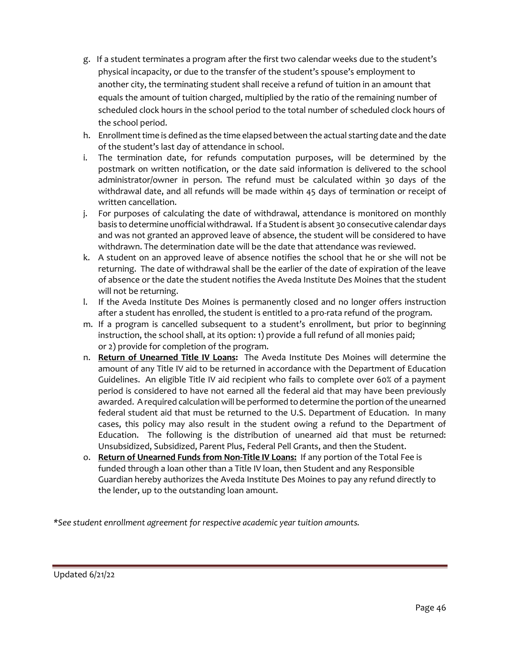- g. If a student terminates a program after the first two calendar weeks due to the student's physical incapacity, or due to the transfer of the student's spouse's employment to another city, the terminating student shall receive a refund of tuition in an amount that equals the amount of tuition charged, multiplied by the ratio of the remaining number of scheduled clock hours in the school period to the total number of scheduled clock hours of the school period.
- h. Enrollment time is defined as the time elapsed between the actual starting date and the date of the student's last day of attendance in school.
- i. The termination date, for refunds computation purposes, will be determined by the postmark on written notification, or the date said information is delivered to the school administrator/owner in person. The refund must be calculated within 30 days of the withdrawal date, and all refunds will be made within 45 days of termination or receipt of written cancellation.
- j. For purposes of calculating the date of withdrawal, attendance is monitored on monthly basis to determine unofficial withdrawal. If a Student is absent 30 consecutive calendar days and was not granted an approved leave of absence, the student will be considered to have withdrawn. The determination date will be the date that attendance was reviewed.
- k. A student on an approved leave of absence notifies the school that he or she will not be returning. The date of withdrawal shall be the earlier of the date of expiration of the leave of absence or the date the student notifies the Aveda Institute Des Moines that the student will not be returning.
- l. If the Aveda Institute Des Moines is permanently closed and no longer offers instruction after a student has enrolled, the student is entitled to a pro-rata refund of the program.
- m. If a program is cancelled subsequent to a student's enrollment, but prior to beginning instruction, the school shall, at its option: 1) provide a full refund of all monies paid; or 2) provide for completion of the program.
- n. **Return of Unearned Title IV Loans:** The Aveda Institute Des Moines will determine the amount of any Title IV aid to be returned in accordance with the Department of Education Guidelines. An eligible Title IV aid recipient who fails to complete over 60% of a payment period is considered to have not earned all the federal aid that may have been previously awarded. A required calculation will be performed to determine the portion of the unearned federal student aid that must be returned to the U.S. Department of Education. In many cases, this policy may also result in the student owing a refund to the Department of Education. The following is the distribution of unearned aid that must be returned: Unsubsidized, Subsidized, Parent Plus, Federal Pell Grants, and then the Student.
- o. **Return of Unearned Funds from Non-Title IV Loans:** If any portion of the Total Fee is funded through a loan other than a Title IV loan, then Student and any Responsible Guardian hereby authorizes the Aveda Institute Des Moines to pay any refund directly to the lender, up to the outstanding loan amount.

*\*See student enrollment agreement for respective academic year tuition amounts.*